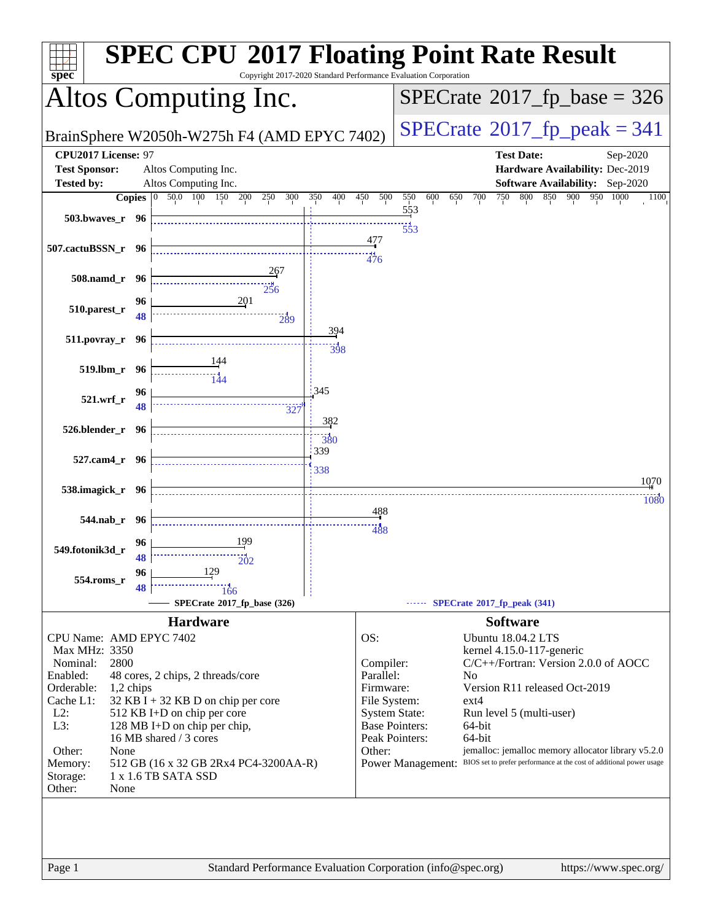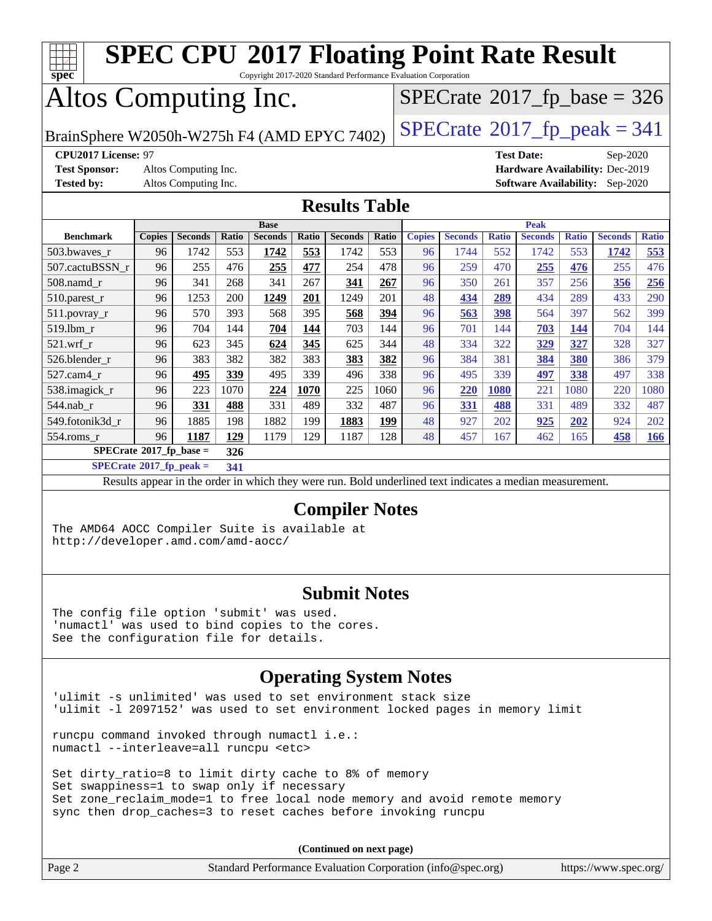

#### **[Submit Notes](http://www.spec.org/auto/cpu2017/Docs/result-fields.html#SubmitNotes)**

The config file option 'submit' was used. 'numactl' was used to bind copies to the cores. See the configuration file for details.

#### **[Operating System Notes](http://www.spec.org/auto/cpu2017/Docs/result-fields.html#OperatingSystemNotes)**

'ulimit -s unlimited' was used to set environment stack size 'ulimit -l 2097152' was used to set environment locked pages in memory limit

runcpu command invoked through numactl i.e.: numactl --interleave=all runcpu <etc>

Set dirty\_ratio=8 to limit dirty cache to 8% of memory Set swappiness=1 to swap only if necessary Set zone\_reclaim\_mode=1 to free local node memory and avoid remote memory sync then drop\_caches=3 to reset caches before invoking runcpu

**(Continued on next page)**

| Page 2<br>Standard Performance Evaluation Corporation (info@spec.org) | https://www.spec.org/ |
|-----------------------------------------------------------------------|-----------------------|
|-----------------------------------------------------------------------|-----------------------|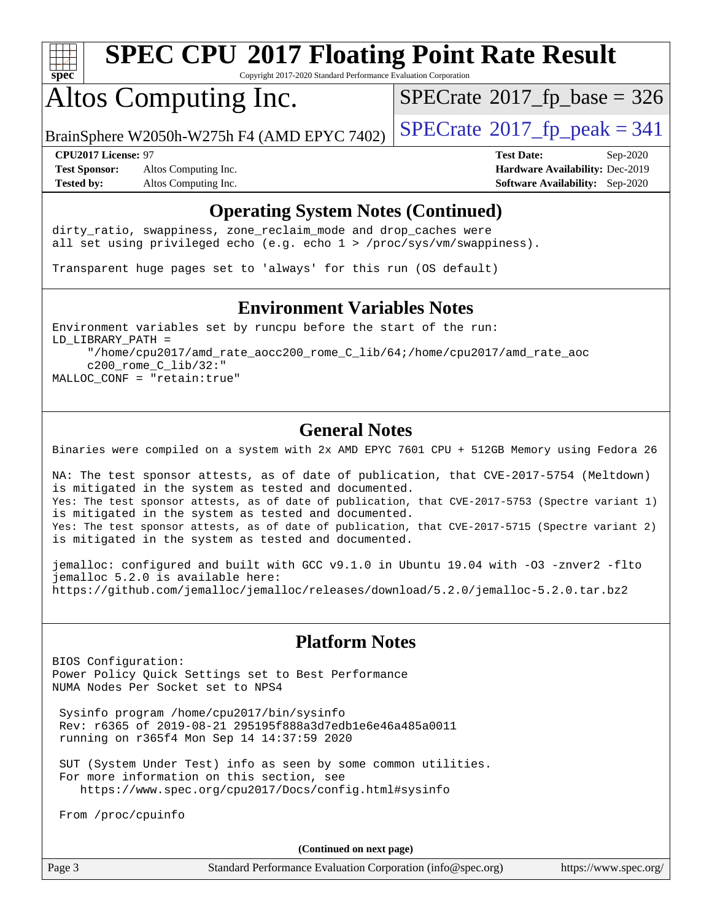

Copyright 2017-2020 Standard Performance Evaluation Corporation

## Altos Computing Inc.

 $SPECTate$ <sup>®</sup>[2017\\_fp\\_base =](http://www.spec.org/auto/cpu2017/Docs/result-fields.html#SPECrate2017fpbase) 326

BrainSphere W2050h-W275h F4 (AMD EPYC 7402)  $\left|$  [SPECrate](http://www.spec.org/auto/cpu2017/Docs/result-fields.html#SPECrate2017fppeak)®[2017\\_fp\\_peak = 3](http://www.spec.org/auto/cpu2017/Docs/result-fields.html#SPECrate2017fppeak)41

**[Test Sponsor:](http://www.spec.org/auto/cpu2017/Docs/result-fields.html#TestSponsor)** Altos Computing Inc. **[Hardware Availability:](http://www.spec.org/auto/cpu2017/Docs/result-fields.html#HardwareAvailability)** Dec-2019 **[Tested by:](http://www.spec.org/auto/cpu2017/Docs/result-fields.html#Testedby)** Altos Computing Inc. **[Software Availability:](http://www.spec.org/auto/cpu2017/Docs/result-fields.html#SoftwareAvailability)** Sep-2020

**[CPU2017 License:](http://www.spec.org/auto/cpu2017/Docs/result-fields.html#CPU2017License)** 97 **[Test Date:](http://www.spec.org/auto/cpu2017/Docs/result-fields.html#TestDate)** Sep-2020

#### **[Operating System Notes \(Continued\)](http://www.spec.org/auto/cpu2017/Docs/result-fields.html#OperatingSystemNotes)**

dirty\_ratio, swappiness, zone\_reclaim\_mode and drop caches were all set using privileged echo (e.g. echo 1 > /proc/sys/vm/swappiness).

Transparent huge pages set to 'always' for this run (OS default)

#### **[Environment Variables Notes](http://www.spec.org/auto/cpu2017/Docs/result-fields.html#EnvironmentVariablesNotes)**

Environment variables set by runcpu before the start of the run: LD\_LIBRARY\_PATH = "/home/cpu2017/amd\_rate\_aocc200\_rome\_C\_lib/64;/home/cpu2017/amd\_rate\_aoc c200\_rome\_C\_lib/32:" MALLOC\_CONF = "retain:true"

#### **[General Notes](http://www.spec.org/auto/cpu2017/Docs/result-fields.html#GeneralNotes)**

Binaries were compiled on a system with 2x AMD EPYC 7601 CPU + 512GB Memory using Fedora 26

NA: The test sponsor attests, as of date of publication, that CVE-2017-5754 (Meltdown) is mitigated in the system as tested and documented. Yes: The test sponsor attests, as of date of publication, that CVE-2017-5753 (Spectre variant 1) is mitigated in the system as tested and documented. Yes: The test sponsor attests, as of date of publication, that CVE-2017-5715 (Spectre variant 2) is mitigated in the system as tested and documented.

jemalloc: configured and built with GCC v9.1.0 in Ubuntu 19.04 with -O3 -znver2 -flto jemalloc 5.2.0 is available here: <https://github.com/jemalloc/jemalloc/releases/download/5.2.0/jemalloc-5.2.0.tar.bz2>

#### **[Platform Notes](http://www.spec.org/auto/cpu2017/Docs/result-fields.html#PlatformNotes)**

BIOS Configuration: Power Policy Quick Settings set to Best Performance NUMA Nodes Per Socket set to NPS4

 Sysinfo program /home/cpu2017/bin/sysinfo Rev: r6365 of 2019-08-21 295195f888a3d7edb1e6e46a485a0011 running on r365f4 Mon Sep 14 14:37:59 2020

 SUT (System Under Test) info as seen by some common utilities. For more information on this section, see <https://www.spec.org/cpu2017/Docs/config.html#sysinfo>

From /proc/cpuinfo

**(Continued on next page)**

| ۰. | Page |  |
|----|------|--|
|----|------|--|

Page 3 Standard Performance Evaluation Corporation [\(info@spec.org\)](mailto:info@spec.org) <https://www.spec.org/>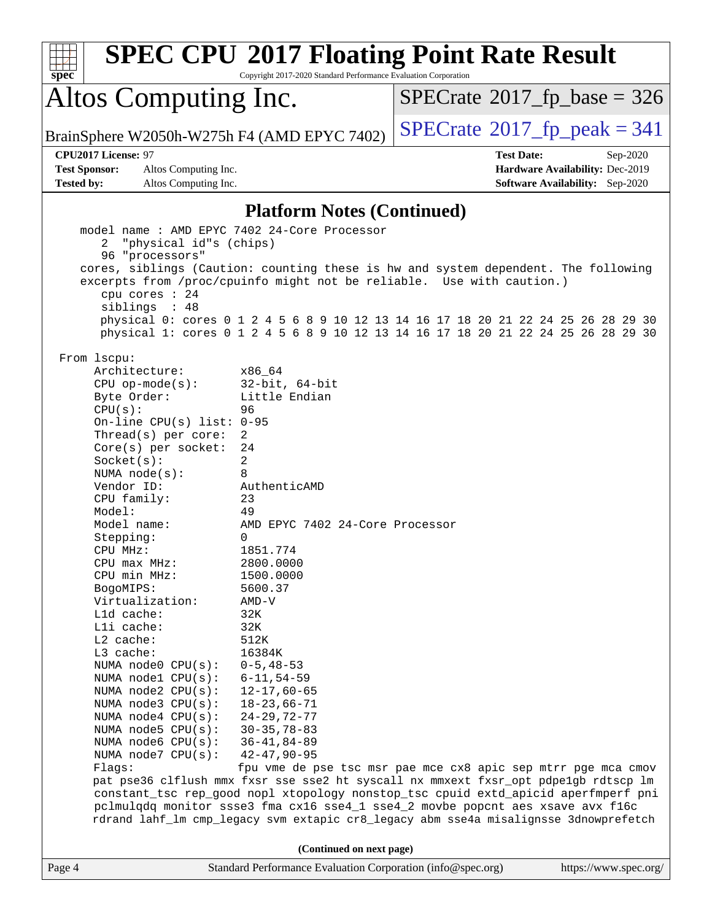| spec                                                                                                                                                                                                                                                                                                                                                                                                                                                                                                                                                                                                                                              | <b>SPEC CPU®2017 Floating Point Rate Result</b><br>Copyright 2017-2020 Standard Performance Evaluation Corporation                                                                                                                                                                                                                                                                                                                                                                                                                                                                                                                                                                                                 |                                            |                                        |
|---------------------------------------------------------------------------------------------------------------------------------------------------------------------------------------------------------------------------------------------------------------------------------------------------------------------------------------------------------------------------------------------------------------------------------------------------------------------------------------------------------------------------------------------------------------------------------------------------------------------------------------------------|--------------------------------------------------------------------------------------------------------------------------------------------------------------------------------------------------------------------------------------------------------------------------------------------------------------------------------------------------------------------------------------------------------------------------------------------------------------------------------------------------------------------------------------------------------------------------------------------------------------------------------------------------------------------------------------------------------------------|--------------------------------------------|----------------------------------------|
| Altos Computing Inc.                                                                                                                                                                                                                                                                                                                                                                                                                                                                                                                                                                                                                              |                                                                                                                                                                                                                                                                                                                                                                                                                                                                                                                                                                                                                                                                                                                    | $SPECTate$ <sup>®</sup> 2017_fp_base = 326 |                                        |
|                                                                                                                                                                                                                                                                                                                                                                                                                                                                                                                                                                                                                                                   | BrainSphere W2050h-W275h F4 (AMD EPYC 7402)                                                                                                                                                                                                                                                                                                                                                                                                                                                                                                                                                                                                                                                                        | $SPECrate^{\circ}2017$ _fp_peak = 341      |                                        |
| CPU2017 License: 97                                                                                                                                                                                                                                                                                                                                                                                                                                                                                                                                                                                                                               |                                                                                                                                                                                                                                                                                                                                                                                                                                                                                                                                                                                                                                                                                                                    | <b>Test Date:</b>                          | Sep-2020                               |
| <b>Test Sponsor:</b><br>Altos Computing Inc.                                                                                                                                                                                                                                                                                                                                                                                                                                                                                                                                                                                                      |                                                                                                                                                                                                                                                                                                                                                                                                                                                                                                                                                                                                                                                                                                                    |                                            | Hardware Availability: Dec-2019        |
| <b>Tested by:</b><br>Altos Computing Inc.                                                                                                                                                                                                                                                                                                                                                                                                                                                                                                                                                                                                         |                                                                                                                                                                                                                                                                                                                                                                                                                                                                                                                                                                                                                                                                                                                    |                                            | <b>Software Availability:</b> Sep-2020 |
|                                                                                                                                                                                                                                                                                                                                                                                                                                                                                                                                                                                                                                                   | <b>Platform Notes (Continued)</b>                                                                                                                                                                                                                                                                                                                                                                                                                                                                                                                                                                                                                                                                                  |                                            |                                        |
| "physical id"s (chips)<br>2<br>96 "processors"<br>cpu cores : 24<br>siblings : 48<br>From 1scpu:<br>Architecture:<br>$CPU$ op-mode( $s$ ):<br>Byte Order:<br>CPU(s):<br>On-line CPU(s) list: $0-95$<br>Thread(s) per core:<br>$Core(s)$ per socket:<br>Socket(s):<br>NUMA $node(s):$<br>Vendor ID:<br>CPU family:<br>Model:<br>Model name:<br>Stepping:<br>CPU MHz:<br>CPU max MHz:<br>CPU min MHz:<br>BogoMIPS:<br>Virtualization:<br>L1d cache:<br>Lli cache:<br>L2 cache:<br>L3 cache:<br>NUMA node0 CPU(s):<br>NUMA nodel CPU(s):<br>NUMA $node2$ $CPU(s):$<br>NUMA $node3$ CPU $(s)$ :<br>NUMA $node4$ CPU $(s)$ :<br>NUMA $node5$ $CPU(s):$ | cores, siblings (Caution: counting these is hw and system dependent. The following<br>excerpts from /proc/cpuinfo might not be reliable. Use with caution.)<br>physical 0: cores 0 1 2 4 5 6 8 9 10 12 13 14 16 17 18 20 21 22 24 25 26 28 29 30<br>physical 1: cores 0 1 2 4 5 6 8 9 10 12 13 14 16 17 18 20 21 22 24 25 26 28 29 30<br>x86 64<br>$32$ -bit, $64$ -bit<br>Little Endian<br>96<br>2<br>24<br>2<br>8<br>AuthenticAMD<br>23<br>49<br>AMD EPYC 7402 24-Core Processor<br>0<br>1851.774<br>2800.0000<br>1500.0000<br>5600.37<br>$AMD-V$<br>32K<br>32K<br>512K<br>16384K<br>$0 - 5, 48 - 53$<br>$6 - 11, 54 - 59$<br>$12 - 17,60 - 65$<br>$18 - 23,66 - 71$<br>$24 - 29, 72 - 77$<br>$30 - 35, 78 - 83$ |                                            |                                        |
| NUMA node6 CPU(s):<br>NUMA node7 CPU(s):<br>Flags:                                                                                                                                                                                                                                                                                                                                                                                                                                                                                                                                                                                                | $36 - 41, 84 - 89$<br>$42 - 47, 90 - 95$<br>fpu vme de pse tsc msr pae mce cx8 apic sep mtrr pge mca cmov<br>pat pse36 clflush mmx fxsr sse sse2 ht syscall nx mmxext fxsr_opt pdpe1gb rdtscp lm<br>constant_tsc rep_good nopl xtopology nonstop_tsc cpuid extd_apicid aperfmperf pni<br>pclmulqdq monitor ssse3 fma cx16 sse4_1 sse4_2 movbe popcnt aes xsave avx f16c<br>rdrand lahf_lm cmp_legacy svm extapic cr8_legacy abm sse4a misalignsse 3dnowprefetch                                                                                                                                                                                                                                                    |                                            |                                        |
|                                                                                                                                                                                                                                                                                                                                                                                                                                                                                                                                                                                                                                                   | (Continued on next page)                                                                                                                                                                                                                                                                                                                                                                                                                                                                                                                                                                                                                                                                                           |                                            |                                        |
| Page 4                                                                                                                                                                                                                                                                                                                                                                                                                                                                                                                                                                                                                                            | Standard Performance Evaluation Corporation (info@spec.org)                                                                                                                                                                                                                                                                                                                                                                                                                                                                                                                                                                                                                                                        |                                            | https://www.spec.org/                  |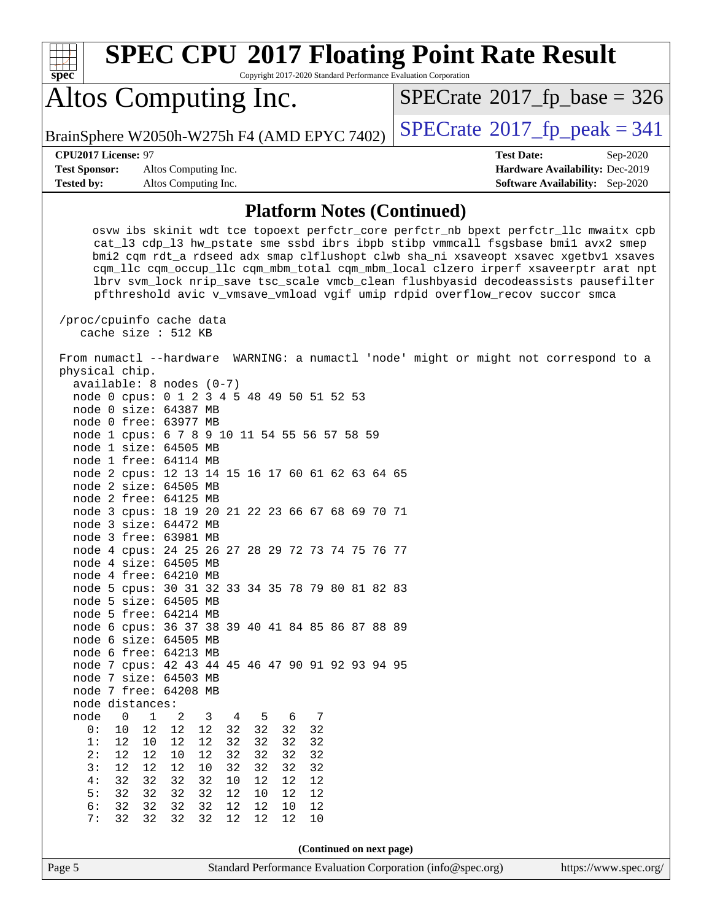| <b>SPEC CPU®2017 Floating Point Rate Result</b><br>Copyright 2017-2020 Standard Performance Evaluation Corporation<br>spec <sup>®</sup>                                                                                                                                                                                                                                                                                                                                                                                                                  |                                                                                                            |
|----------------------------------------------------------------------------------------------------------------------------------------------------------------------------------------------------------------------------------------------------------------------------------------------------------------------------------------------------------------------------------------------------------------------------------------------------------------------------------------------------------------------------------------------------------|------------------------------------------------------------------------------------------------------------|
| Altos Computing Inc.                                                                                                                                                                                                                                                                                                                                                                                                                                                                                                                                     | $SPECTate$ <sup>®</sup> 2017_fp_base = 326                                                                 |
| BrainSphere W2050h-W275h F4 (AMD EPYC 7402)                                                                                                                                                                                                                                                                                                                                                                                                                                                                                                              | $SPECTate@2017fr peak = 341$                                                                               |
| CPU2017 License: 97<br><b>Test Sponsor:</b><br>Altos Computing Inc.<br><b>Tested by:</b><br>Altos Computing Inc.                                                                                                                                                                                                                                                                                                                                                                                                                                         | <b>Test Date:</b><br>Sep-2020<br>Hardware Availability: Dec-2019<br><b>Software Availability:</b> Sep-2020 |
| <b>Platform Notes (Continued)</b>                                                                                                                                                                                                                                                                                                                                                                                                                                                                                                                        |                                                                                                            |
| osvw ibs skinit wdt tce topoext perfctr_core perfctr_nb bpext perfctr_llc mwaitx cpb<br>cat_13 cdp_13 hw_pstate sme ssbd ibrs ibpb stibp vmmcall fsgsbase bmil avx2 smep<br>bmi2 cqm rdt_a rdseed adx smap clflushopt clwb sha_ni xsaveopt xsavec xgetbv1 xsaves<br>cqm_llc cqm_occup_llc cqm_mbm_total cqm_mbm_local clzero irperf xsaveerptr arat npt<br>lbrv svm_lock nrip_save tsc_scale vmcb_clean flushbyasid decodeassists pausefilter<br>pfthreshold avic v_vmsave_vmload vgif umip rdpid overflow_recov succor smca<br>/proc/cpuinfo cache data |                                                                                                            |
| cache size : 512 KB<br>From numactl --hardware WARNING: a numactl 'node' might or might not correspond to a<br>physical chip.<br>$available: 8 nodes (0-7)$<br>node 0 cpus: 0 1 2 3 4 5 48 49 50 51 52 53<br>node 0 size: 64387 MB<br>node 0 free: 63977 MB<br>node 1 cpus: 6 7 8 9 10 11 54 55 56 57 58 59<br>node 1 size: 64505 MB                                                                                                                                                                                                                     |                                                                                                            |
| node 1 free: 64114 MB<br>node 2 cpus: 12 13 14 15 16 17 60 61 62 63 64 65<br>node 2 size: 64505 MB<br>node 2 free: 64125 MB<br>node 3 cpus: 18 19 20 21 22 23 66 67 68 69 70 71<br>node 3 size: 64472 MB<br>node 3 free: 63981 MB                                                                                                                                                                                                                                                                                                                        |                                                                                                            |
| node 4 cpus: 24 25 26 27 28 29 72 73 74 75 76 77<br>node 4 size: 64505 MB<br>node 4 free: 64210 MB<br>node 5 cpus: 30 31 32 33 34 35 78 79 80 81 82 83<br>node 5 size: 64505 MB<br>node 5 free: 64214 MB<br>node 6 cpus: 36 37 38 39 40 41 84 85 86 87 88 89<br>node 6 size: 64505 MB<br>node 6 free: 64213 MB                                                                                                                                                                                                                                           |                                                                                                            |
| node 7 cpus: 42 43 44 45 46 47 90 91 92 93 94 95<br>node 7 size: 64503 MB<br>node 7 free: 64208 MB<br>node distances:                                                                                                                                                                                                                                                                                                                                                                                                                                    |                                                                                                            |
| node<br>0<br>$\mathbf 1$<br>7<br>2<br>3<br>4<br>5<br>6<br>12<br>12<br>32<br>32<br>32<br>0:<br>10<br>12<br>32<br>1:<br>12<br>12<br>12<br>32<br>32<br>32<br>32<br>10<br>12<br>12<br>$10$<br>12<br>32<br>32<br>32<br>32<br>2:<br>3:<br>32<br>12<br>12<br>12<br>10<br>32<br>32<br>32<br>4:<br>32<br>32<br>32<br>32<br>12<br>12<br>12<br>10<br>5:<br>32<br>32<br>32<br>32<br>12<br>10<br>12<br>12<br>6:<br>32<br>32<br>32<br>32<br>12<br>12<br>12<br>10<br>32<br>12<br>7:<br>32<br>32<br>32<br>12<br>12<br>10                                                 |                                                                                                            |
| (Continued on next page)<br>Standard Performance Evaluation Corporation (info@spec.org)<br>Page 5                                                                                                                                                                                                                                                                                                                                                                                                                                                        | https://www.spec.org/                                                                                      |
|                                                                                                                                                                                                                                                                                                                                                                                                                                                                                                                                                          |                                                                                                            |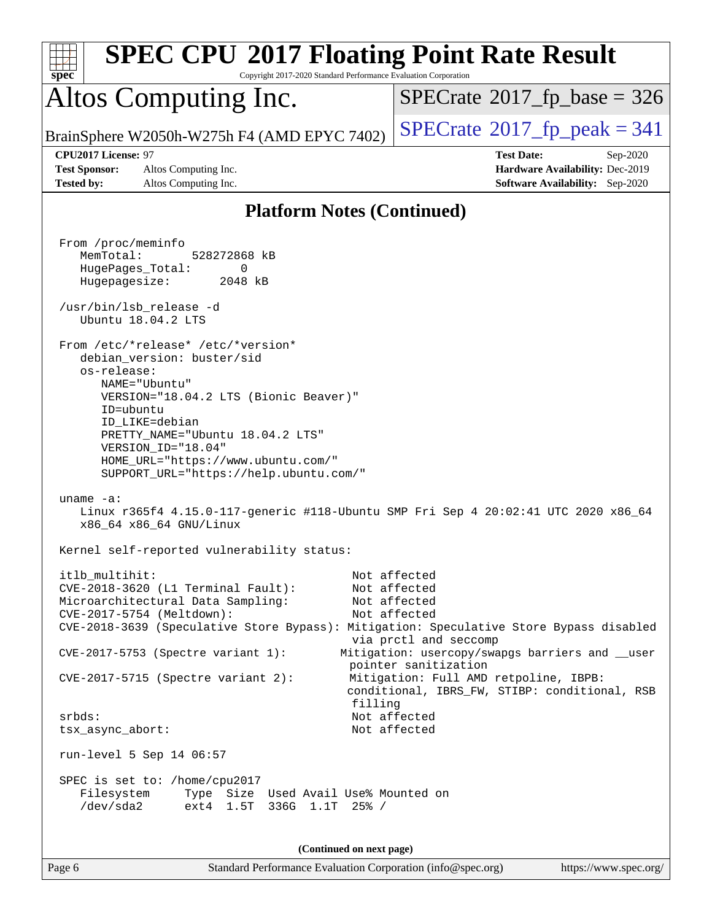| <b>SPEC CPU®2017 Floating Point Rate Result</b><br>Copyright 2017-2020 Standard Performance Evaluation Corporation<br>spec <sup>®</sup>                                                                                                                                                                            |                                                                                                                                                                   |
|--------------------------------------------------------------------------------------------------------------------------------------------------------------------------------------------------------------------------------------------------------------------------------------------------------------------|-------------------------------------------------------------------------------------------------------------------------------------------------------------------|
| Altos Computing Inc.                                                                                                                                                                                                                                                                                               | $SPECrate^{\circ}2017$ fp base = 326                                                                                                                              |
| BrainSphere W2050h-W275h F4 (AMD EPYC 7402)                                                                                                                                                                                                                                                                        | $SPECrate^{\circ}2017$ fp peak = 341                                                                                                                              |
| CPU2017 License: 97<br><b>Test Sponsor:</b><br>Altos Computing Inc.<br><b>Tested by:</b><br>Altos Computing Inc.                                                                                                                                                                                                   | <b>Test Date:</b><br>Sep-2020<br>Hardware Availability: Dec-2019<br><b>Software Availability:</b> Sep-2020                                                        |
| <b>Platform Notes (Continued)</b>                                                                                                                                                                                                                                                                                  |                                                                                                                                                                   |
| From /proc/meminfo<br>MemTotal:<br>528272868 kB<br>HugePages_Total:<br>0<br>Hugepagesize:<br>2048 kB<br>/usr/bin/lsb_release -d<br>Ubuntu 18.04.2 LTS                                                                                                                                                              |                                                                                                                                                                   |
| From /etc/*release* /etc/*version*<br>debian_version: buster/sid<br>os-release:<br>NAME="Ubuntu"<br>VERSION="18.04.2 LTS (Bionic Beaver)"<br>ID=ubuntu<br>ID LIKE=debian<br>PRETTY_NAME="Ubuntu 18.04.2 LTS"<br>VERSION_ID="18.04"<br>HOME_URL="https://www.ubuntu.com/"<br>SUPPORT_URL="https://help.ubuntu.com/" |                                                                                                                                                                   |
| uname $-a$ :<br>Linux r365f4 4.15.0-117-generic #118-Ubuntu SMP Fri Sep 4 20:02:41 UTC 2020 x86_64<br>x86_64 x86_64 GNU/Linux                                                                                                                                                                                      |                                                                                                                                                                   |
| Kernel self-reported vulnerability status:                                                                                                                                                                                                                                                                         |                                                                                                                                                                   |
| itlb_multihit:<br>$CVE-2018-3620$ (L1 Terminal Fault):<br>Microarchitectural Data Sampling:<br>CVE-2017-5754 (Meltdown):<br>CVE-2018-3639 (Speculative Store Bypass): Mitigation: Speculative Store Bypass disabled                                                                                                | Not affected<br>Not affected<br>Not affected<br>Not affected<br>via prctl and seccomp                                                                             |
| CVE-2017-5753 (Spectre variant 1):<br>CVE-2017-5715 (Spectre variant 2):                                                                                                                                                                                                                                           | Mitigation: usercopy/swapgs barriers and __user<br>pointer sanitization<br>Mitigation: Full AMD retpoline, IBPB:<br>conditional, IBRS_FW, STIBP: conditional, RSB |
| filling<br>srbds:<br>tsx_async_abort:                                                                                                                                                                                                                                                                              | Not affected<br>Not affected                                                                                                                                      |
| run-level 5 Sep 14 06:57                                                                                                                                                                                                                                                                                           |                                                                                                                                                                   |
| SPEC is set to: /home/cpu2017<br>Filesystem<br>Type Size Used Avail Use% Mounted on<br>/dev/sda2<br>ext4 1.5T 336G 1.1T 25% /                                                                                                                                                                                      |                                                                                                                                                                   |
| (Continued on next page)                                                                                                                                                                                                                                                                                           |                                                                                                                                                                   |

Page 6 Standard Performance Evaluation Corporation [\(info@spec.org\)](mailto:info@spec.org) <https://www.spec.org/>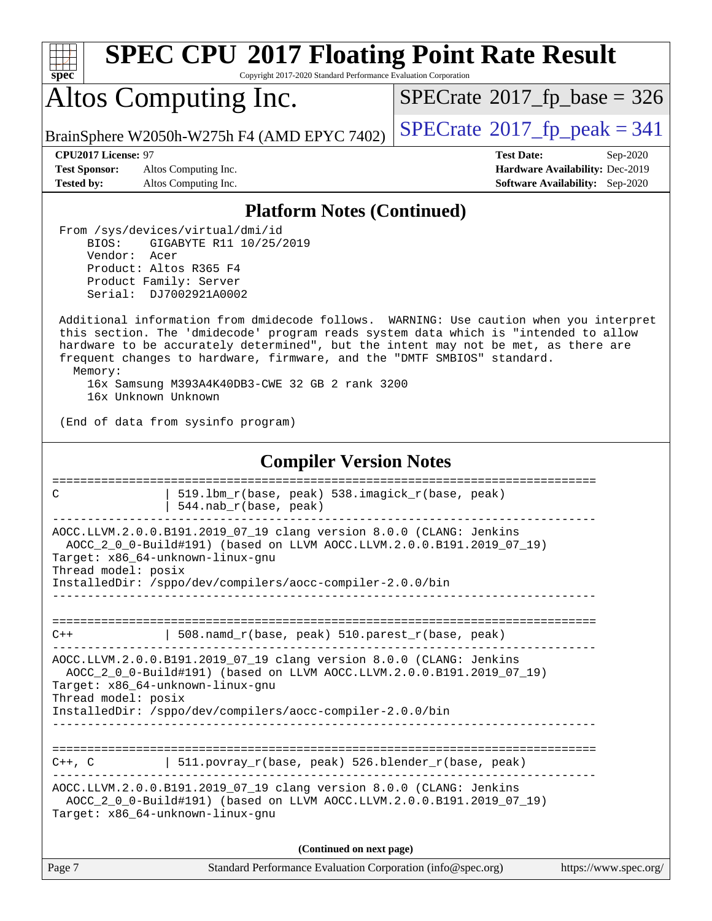| SI<br>pe<br>Ľ<br>۹ |  |  |  |  |  |
|--------------------|--|--|--|--|--|

Copyright 2017-2020 Standard Performance Evaluation Corporation

# Altos Computing Inc.

 $SPECTate$ <sup>®</sup>[2017\\_fp\\_base =](http://www.spec.org/auto/cpu2017/Docs/result-fields.html#SPECrate2017fpbase) 326

BrainSphere W2050h-W275h F4 (AMD EPYC 7402)  $\vert$  [SPECrate](http://www.spec.org/auto/cpu2017/Docs/result-fields.html#SPECrate2017fppeak)®[2017\\_fp\\_peak = 3](http://www.spec.org/auto/cpu2017/Docs/result-fields.html#SPECrate2017fppeak)41

**[Test Sponsor:](http://www.spec.org/auto/cpu2017/Docs/result-fields.html#TestSponsor)** Altos Computing Inc. **[Hardware Availability:](http://www.spec.org/auto/cpu2017/Docs/result-fields.html#HardwareAvailability)** Dec-2019 **[Tested by:](http://www.spec.org/auto/cpu2017/Docs/result-fields.html#Testedby)** Altos Computing Inc. **[Software Availability:](http://www.spec.org/auto/cpu2017/Docs/result-fields.html#SoftwareAvailability)** Sep-2020

**[CPU2017 License:](http://www.spec.org/auto/cpu2017/Docs/result-fields.html#CPU2017License)** 97 **[Test Date:](http://www.spec.org/auto/cpu2017/Docs/result-fields.html#TestDate)** Sep-2020

#### **[Platform Notes \(Continued\)](http://www.spec.org/auto/cpu2017/Docs/result-fields.html#PlatformNotes)**

 From /sys/devices/virtual/dmi/id BIOS: GIGABYTE R11 10/25/2019 Vendor: Acer Product: Altos R365 F4 Product Family: Server Serial: DJ7002921A0002

 Additional information from dmidecode follows. WARNING: Use caution when you interpret this section. The 'dmidecode' program reads system data which is "intended to allow hardware to be accurately determined", but the intent may not be met, as there are frequent changes to hardware, firmware, and the "DMTF SMBIOS" standard. Memory:

 16x Samsung M393A4K40DB3-CWE 32 GB 2 rank 3200 16x Unknown Unknown

(End of data from sysinfo program)

#### **[Compiler Version Notes](http://www.spec.org/auto/cpu2017/Docs/result-fields.html#CompilerVersionNotes)**

| C                   | 519.1bm r(base, peak) 538.imagick r(base, peak)<br>544.nab_r(base, peak)                                                                                                                                                                      |                       |
|---------------------|-----------------------------------------------------------------------------------------------------------------------------------------------------------------------------------------------------------------------------------------------|-----------------------|
| Thread model: posix | AOCC.LLVM.2.0.0.B191.2019_07_19 clang version 8.0.0 (CLANG: Jenkins<br>AOCC_2_0_0-Build#191) (based on LLVM AOCC.LLVM.2.0.0.B191.2019_07_19)<br>Target: x86_64-unknown-linux-gnu<br>InstalledDir: /sppo/dev/compilers/aocc-compiler-2.0.0/bin |                       |
| $C++$               | 508.namd_r(base, peak) 510.parest_r(base, peak)                                                                                                                                                                                               |                       |
| Thread model: posix | AOCC.LLVM.2.0.0.B191.2019_07_19 clang version 8.0.0 (CLANG: Jenkins<br>AOCC_2_0_0-Build#191) (based on LLVM AOCC.LLVM.2.0.0.B191.2019_07_19)<br>Target: x86 64-unknown-linux-gnu<br>InstalledDir: /sppo/dev/compilers/aocc-compiler-2.0.0/bin |                       |
| $C++$ , $C$         | 511.povray_r(base, peak) 526.blender_r(base, peak)                                                                                                                                                                                            |                       |
|                     | AOCC.LLVM.2.0.0.B191.2019_07_19 clang version 8.0.0 (CLANG: Jenkins<br>AOCC_2_0_0-Build#191) (based on LLVM AOCC.LLVM.2.0.0.B191.2019_07_19)<br>Target: x86 64-unknown-linux-gnu                                                              |                       |
| Page 7              | (Continued on next page)                                                                                                                                                                                                                      |                       |
|                     | Standard Performance Evaluation Corporation (info@spec.org)                                                                                                                                                                                   | https://www.spec.org/ |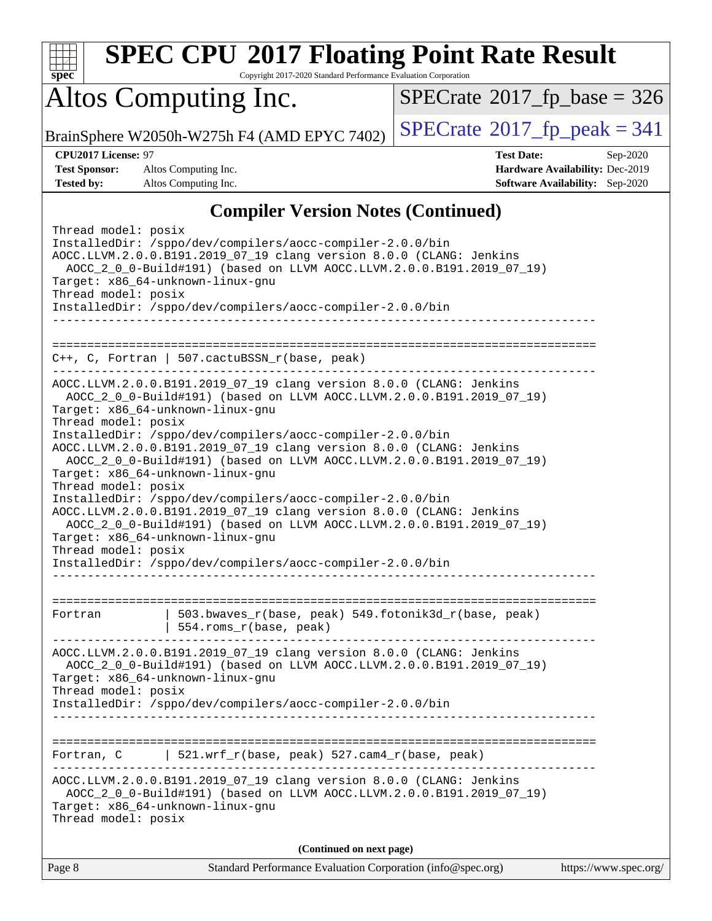

Copyright 2017-2020 Standard Performance Evaluation Corporation

## Altos Computing Inc.

 $SPECTate$ <sup>®</sup>[2017\\_fp\\_base =](http://www.spec.org/auto/cpu2017/Docs/result-fields.html#SPECrate2017fpbase) 326

BrainSphere W2050h-W275h F4 (AMD EPYC 7402)  $\left|$  [SPECrate](http://www.spec.org/auto/cpu2017/Docs/result-fields.html#SPECrate2017fppeak)®[2017\\_fp\\_peak = 3](http://www.spec.org/auto/cpu2017/Docs/result-fields.html#SPECrate2017fppeak)41

**[Test Sponsor:](http://www.spec.org/auto/cpu2017/Docs/result-fields.html#TestSponsor)** Altos Computing Inc. **[Hardware Availability:](http://www.spec.org/auto/cpu2017/Docs/result-fields.html#HardwareAvailability)** Dec-2019 **[Tested by:](http://www.spec.org/auto/cpu2017/Docs/result-fields.html#Testedby)** Altos Computing Inc. **[Software Availability:](http://www.spec.org/auto/cpu2017/Docs/result-fields.html#SoftwareAvailability)** Sep-2020

**[CPU2017 License:](http://www.spec.org/auto/cpu2017/Docs/result-fields.html#CPU2017License)** 97 **[Test Date:](http://www.spec.org/auto/cpu2017/Docs/result-fields.html#TestDate)** Sep-2020

### **[Compiler Version Notes \(Continued\)](http://www.spec.org/auto/cpu2017/Docs/result-fields.html#CompilerVersionNotes)**

| (Continued on next page)<br>Page 8<br>Standard Performance Evaluation Corporation (info@spec.org)                                                                                                                                                                                                                                                                                                                                                                                                                                                                                                                                                                                                                                                                                                                                                                        | https://www.spec.org/ |
|--------------------------------------------------------------------------------------------------------------------------------------------------------------------------------------------------------------------------------------------------------------------------------------------------------------------------------------------------------------------------------------------------------------------------------------------------------------------------------------------------------------------------------------------------------------------------------------------------------------------------------------------------------------------------------------------------------------------------------------------------------------------------------------------------------------------------------------------------------------------------|-----------------------|
|                                                                                                                                                                                                                                                                                                                                                                                                                                                                                                                                                                                                                                                                                                                                                                                                                                                                          |                       |
| AOCC.LLVM.2.0.0.B191.2019_07_19 clang version 8.0.0 (CLANG: Jenkins<br>AOCC_2_0_0-Build#191) (based on LLVM AOCC.LLVM.2.0.0.B191.2019_07_19)<br>Target: x86_64-unknown-linux-gnu<br>Thread model: posix                                                                                                                                                                                                                                                                                                                                                                                                                                                                                                                                                                                                                                                                  |                       |
| $521.wrf_r(base, peak) 527.cam4_r(base, peak)$<br>Fortran, C                                                                                                                                                                                                                                                                                                                                                                                                                                                                                                                                                                                                                                                                                                                                                                                                             |                       |
| AOCC.LLVM.2.0.0.B191.2019_07_19 clang version 8.0.0 (CLANG: Jenkins<br>AOCC_2_0_0-Build#191) (based on LLVM AOCC.LLVM.2.0.0.B191.2019_07_19)<br>Target: x86_64-unknown-linux-gnu<br>Thread model: posix<br>InstalledDir: /sppo/dev/compilers/aocc-compiler-2.0.0/bin                                                                                                                                                                                                                                                                                                                                                                                                                                                                                                                                                                                                     |                       |
| 503.bwaves_r(base, peak) 549.fotonik3d_r(base, peak)<br>Fortran<br>554.roms_r(base, peak)                                                                                                                                                                                                                                                                                                                                                                                                                                                                                                                                                                                                                                                                                                                                                                                |                       |
| $C++$ , C, Fortran   507.cactuBSSN_r(base, peak)<br>AOCC.LLVM.2.0.0.B191.2019_07_19 clang version 8.0.0 (CLANG: Jenkins<br>AOCC_2_0_0-Build#191) (based on LLVM AOCC.LLVM.2.0.0.B191.2019_07_19)<br>Target: x86_64-unknown-linux-gnu<br>Thread model: posix<br>InstalledDir: /sppo/dev/compilers/aocc-compiler-2.0.0/bin<br>AOCC.LLVM.2.0.0.B191.2019_07_19 clang version 8.0.0 (CLANG: Jenkins<br>AOCC_2_0_0-Build#191) (based on LLVM AOCC.LLVM.2.0.0.B191.2019_07_19)<br>Target: x86_64-unknown-linux-gnu<br>Thread model: posix<br>InstalledDir: /sppo/dev/compilers/aocc-compiler-2.0.0/bin<br>AOCC.LLVM.2.0.0.B191.2019_07_19 clang version 8.0.0 (CLANG: Jenkins<br>AOCC_2_0_0-Build#191) (based on LLVM AOCC.LLVM.2.0.0.B191.2019_07_19)<br>Target: x86_64-unknown-linux-gnu<br>Thread model: posix<br>InstalledDir: /sppo/dev/compilers/aocc-compiler-2.0.0/bin |                       |
|                                                                                                                                                                                                                                                                                                                                                                                                                                                                                                                                                                                                                                                                                                                                                                                                                                                                          |                       |
| Thread model: posix<br>InstalledDir: /sppo/dev/compilers/aocc-compiler-2.0.0/bin<br>AOCC.LLVM.2.0.0.B191.2019 07 19 clang version 8.0.0 (CLANG: Jenkins<br>AOCC_2_0_0-Build#191) (based on LLVM AOCC.LLVM.2.0.0.B191.2019_07_19)<br>Target: x86_64-unknown-linux-gnu<br>Thread model: posix<br>InstalledDir: /sppo/dev/compilers/aocc-compiler-2.0.0/bin                                                                                                                                                                                                                                                                                                                                                                                                                                                                                                                 |                       |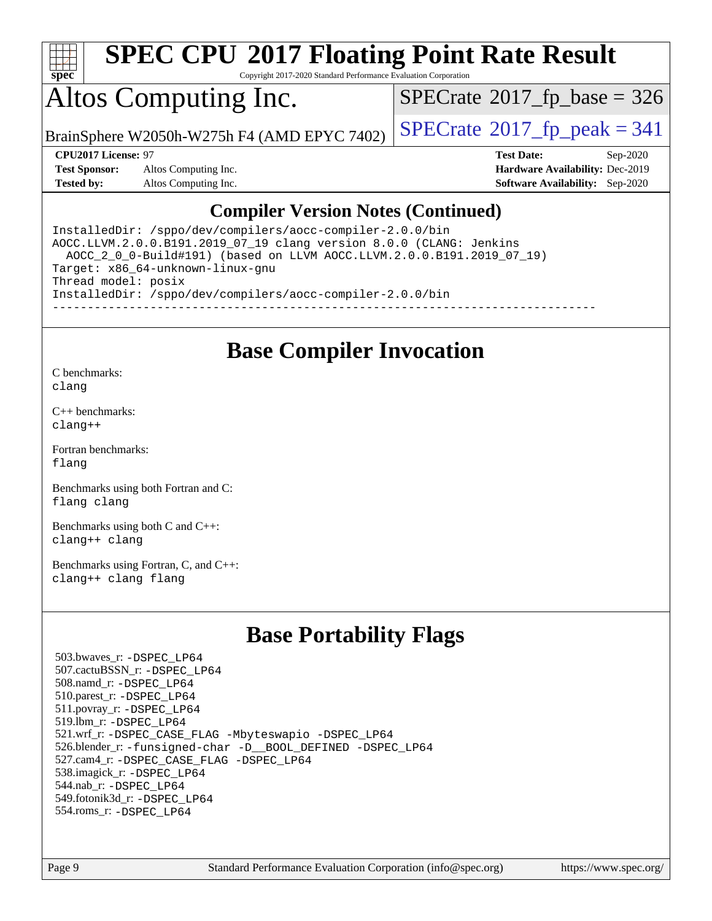

Copyright 2017-2020 Standard Performance Evaluation Corporation

## Altos Computing Inc.

 $SPECTate$ <sup>®</sup>[2017\\_fp\\_base =](http://www.spec.org/auto/cpu2017/Docs/result-fields.html#SPECrate2017fpbase) 326

BrainSphere W2050h-W275h F4 (AMD EPYC 7402)  $\vert$  [SPECrate](http://www.spec.org/auto/cpu2017/Docs/result-fields.html#SPECrate2017fppeak)®[2017\\_fp\\_peak = 3](http://www.spec.org/auto/cpu2017/Docs/result-fields.html#SPECrate2017fppeak)41

**[Test Sponsor:](http://www.spec.org/auto/cpu2017/Docs/result-fields.html#TestSponsor)** Altos Computing Inc. **[Hardware Availability:](http://www.spec.org/auto/cpu2017/Docs/result-fields.html#HardwareAvailability)** Dec-2019 **[Tested by:](http://www.spec.org/auto/cpu2017/Docs/result-fields.html#Testedby)** Altos Computing Inc. **[Software Availability:](http://www.spec.org/auto/cpu2017/Docs/result-fields.html#SoftwareAvailability)** Sep-2020

**[CPU2017 License:](http://www.spec.org/auto/cpu2017/Docs/result-fields.html#CPU2017License)** 97 **[Test Date:](http://www.spec.org/auto/cpu2017/Docs/result-fields.html#TestDate)** Sep-2020

#### **[Compiler Version Notes \(Continued\)](http://www.spec.org/auto/cpu2017/Docs/result-fields.html#CompilerVersionNotes)**

InstalledDir: /sppo/dev/compilers/aocc-compiler-2.0.0/bin AOCC.LLVM.2.0.0.B191.2019\_07\_19 clang version 8.0.0 (CLANG: Jenkins AOCC\_2\_0\_0-Build#191) (based on LLVM AOCC.LLVM.2.0.0.B191.2019\_07\_19) Target: x86\_64-unknown-linux-gnu Thread model: posix InstalledDir: /sppo/dev/compilers/aocc-compiler-2.0.0/bin ------------------------------------------------------------------------------

### **[Base Compiler Invocation](http://www.spec.org/auto/cpu2017/Docs/result-fields.html#BaseCompilerInvocation)**

[C benchmarks](http://www.spec.org/auto/cpu2017/Docs/result-fields.html#Cbenchmarks): [clang](http://www.spec.org/cpu2017/results/res2020q4/cpu2017-20200918-24010.flags.html#user_CCbase_clang-c)

[C++ benchmarks:](http://www.spec.org/auto/cpu2017/Docs/result-fields.html#CXXbenchmarks) [clang++](http://www.spec.org/cpu2017/results/res2020q4/cpu2017-20200918-24010.flags.html#user_CXXbase_clang-cpp)

[Fortran benchmarks](http://www.spec.org/auto/cpu2017/Docs/result-fields.html#Fortranbenchmarks): [flang](http://www.spec.org/cpu2017/results/res2020q4/cpu2017-20200918-24010.flags.html#user_FCbase_flang)

[Benchmarks using both Fortran and C](http://www.spec.org/auto/cpu2017/Docs/result-fields.html#BenchmarksusingbothFortranandC): [flang](http://www.spec.org/cpu2017/results/res2020q4/cpu2017-20200918-24010.flags.html#user_CC_FCbase_flang) [clang](http://www.spec.org/cpu2017/results/res2020q4/cpu2017-20200918-24010.flags.html#user_CC_FCbase_clang-c)

[Benchmarks using both C and C++](http://www.spec.org/auto/cpu2017/Docs/result-fields.html#BenchmarksusingbothCandCXX): [clang++](http://www.spec.org/cpu2017/results/res2020q4/cpu2017-20200918-24010.flags.html#user_CC_CXXbase_clang-cpp) [clang](http://www.spec.org/cpu2017/results/res2020q4/cpu2017-20200918-24010.flags.html#user_CC_CXXbase_clang-c)

[Benchmarks using Fortran, C, and C++:](http://www.spec.org/auto/cpu2017/Docs/result-fields.html#BenchmarksusingFortranCandCXX) [clang++](http://www.spec.org/cpu2017/results/res2020q4/cpu2017-20200918-24010.flags.html#user_CC_CXX_FCbase_clang-cpp) [clang](http://www.spec.org/cpu2017/results/res2020q4/cpu2017-20200918-24010.flags.html#user_CC_CXX_FCbase_clang-c) [flang](http://www.spec.org/cpu2017/results/res2020q4/cpu2017-20200918-24010.flags.html#user_CC_CXX_FCbase_flang)

### **[Base Portability Flags](http://www.spec.org/auto/cpu2017/Docs/result-fields.html#BasePortabilityFlags)**

 503.bwaves\_r: [-DSPEC\\_LP64](http://www.spec.org/cpu2017/results/res2020q4/cpu2017-20200918-24010.flags.html#suite_baseEXTRA_PORTABILITY503_bwaves_r_DSPEC_LP64) 507.cactuBSSN\_r: [-DSPEC\\_LP64](http://www.spec.org/cpu2017/results/res2020q4/cpu2017-20200918-24010.flags.html#suite_baseEXTRA_PORTABILITY507_cactuBSSN_r_DSPEC_LP64) 508.namd\_r: [-DSPEC\\_LP64](http://www.spec.org/cpu2017/results/res2020q4/cpu2017-20200918-24010.flags.html#suite_baseEXTRA_PORTABILITY508_namd_r_DSPEC_LP64) 510.parest\_r: [-DSPEC\\_LP64](http://www.spec.org/cpu2017/results/res2020q4/cpu2017-20200918-24010.flags.html#suite_baseEXTRA_PORTABILITY510_parest_r_DSPEC_LP64) 511.povray\_r: [-DSPEC\\_LP64](http://www.spec.org/cpu2017/results/res2020q4/cpu2017-20200918-24010.flags.html#suite_baseEXTRA_PORTABILITY511_povray_r_DSPEC_LP64) 519.lbm\_r: [-DSPEC\\_LP64](http://www.spec.org/cpu2017/results/res2020q4/cpu2017-20200918-24010.flags.html#suite_baseEXTRA_PORTABILITY519_lbm_r_DSPEC_LP64) 521.wrf\_r: [-DSPEC\\_CASE\\_FLAG](http://www.spec.org/cpu2017/results/res2020q4/cpu2017-20200918-24010.flags.html#b521.wrf_r_baseCPORTABILITY_DSPEC_CASE_FLAG) [-Mbyteswapio](http://www.spec.org/cpu2017/results/res2020q4/cpu2017-20200918-24010.flags.html#user_baseFPORTABILITY521_wrf_r_F-mbyteswapio_543c39ce38db59bcbc3b888917ef58c313007ae1c27520b689e012995ae261114051d1d5efcb4182d175ce22a6a15532d3a9999882dd2c360e6d853f41da6883) [-DSPEC\\_LP64](http://www.spec.org/cpu2017/results/res2020q4/cpu2017-20200918-24010.flags.html#suite_baseEXTRA_PORTABILITY521_wrf_r_DSPEC_LP64) 526.blender\_r: [-funsigned-char](http://www.spec.org/cpu2017/results/res2020q4/cpu2017-20200918-24010.flags.html#user_baseCPORTABILITY526_blender_r_aocc-unsigned-char) [-D\\_\\_BOOL\\_DEFINED](http://www.spec.org/cpu2017/results/res2020q4/cpu2017-20200918-24010.flags.html#b526.blender_r_baseCXXPORTABILITY_D__BOOL_DEFINED) [-DSPEC\\_LP64](http://www.spec.org/cpu2017/results/res2020q4/cpu2017-20200918-24010.flags.html#suite_baseEXTRA_PORTABILITY526_blender_r_DSPEC_LP64) 527.cam4\_r: [-DSPEC\\_CASE\\_FLAG](http://www.spec.org/cpu2017/results/res2020q4/cpu2017-20200918-24010.flags.html#b527.cam4_r_basePORTABILITY_DSPEC_CASE_FLAG) [-DSPEC\\_LP64](http://www.spec.org/cpu2017/results/res2020q4/cpu2017-20200918-24010.flags.html#suite_baseEXTRA_PORTABILITY527_cam4_r_DSPEC_LP64) 538.imagick\_r: [-DSPEC\\_LP64](http://www.spec.org/cpu2017/results/res2020q4/cpu2017-20200918-24010.flags.html#suite_baseEXTRA_PORTABILITY538_imagick_r_DSPEC_LP64) 544.nab\_r: [-DSPEC\\_LP64](http://www.spec.org/cpu2017/results/res2020q4/cpu2017-20200918-24010.flags.html#suite_baseEXTRA_PORTABILITY544_nab_r_DSPEC_LP64) 549.fotonik3d\_r: [-DSPEC\\_LP64](http://www.spec.org/cpu2017/results/res2020q4/cpu2017-20200918-24010.flags.html#suite_baseEXTRA_PORTABILITY549_fotonik3d_r_DSPEC_LP64) 554.roms\_r: [-DSPEC\\_LP64](http://www.spec.org/cpu2017/results/res2020q4/cpu2017-20200918-24010.flags.html#suite_baseEXTRA_PORTABILITY554_roms_r_DSPEC_LP64)

Page 9 Standard Performance Evaluation Corporation [\(info@spec.org\)](mailto:info@spec.org) <https://www.spec.org/>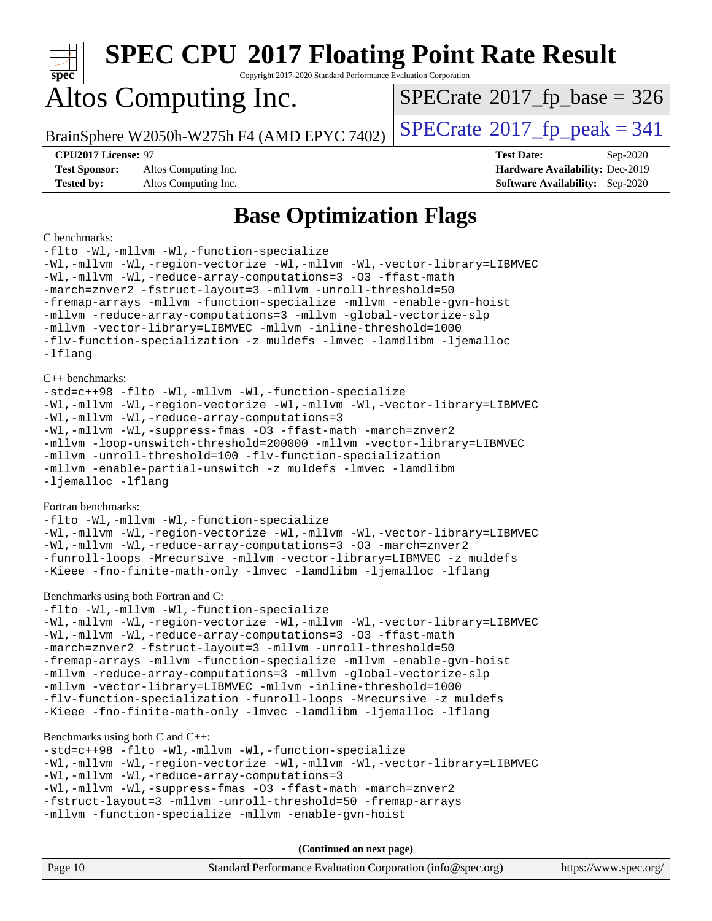| <b>SPEC CPU®2017 Floating Point Rate Result</b><br>spec <sup>®</sup><br>Copyright 2017-2020 Standard Performance Evaluation Corporation                                                                                                                                                                                                                                                                                                                                                                                                                                                                                                         |                                                                                                            |  |  |
|-------------------------------------------------------------------------------------------------------------------------------------------------------------------------------------------------------------------------------------------------------------------------------------------------------------------------------------------------------------------------------------------------------------------------------------------------------------------------------------------------------------------------------------------------------------------------------------------------------------------------------------------------|------------------------------------------------------------------------------------------------------------|--|--|
| Altos Computing Inc.                                                                                                                                                                                                                                                                                                                                                                                                                                                                                                                                                                                                                            | $SPECrate^{\circ}2017$ [p base = 326                                                                       |  |  |
| BrainSphere W2050h-W275h F4 (AMD EPYC 7402)                                                                                                                                                                                                                                                                                                                                                                                                                                                                                                                                                                                                     | $SPECTate@2017fr peak = 341$                                                                               |  |  |
| CPU2017 License: 97<br><b>Test Sponsor:</b><br>Altos Computing Inc.<br><b>Tested by:</b><br>Altos Computing Inc.                                                                                                                                                                                                                                                                                                                                                                                                                                                                                                                                | <b>Test Date:</b><br>Sep-2020<br>Hardware Availability: Dec-2019<br><b>Software Availability:</b> Sep-2020 |  |  |
| <b>Base Optimization Flags</b>                                                                                                                                                                                                                                                                                                                                                                                                                                                                                                                                                                                                                  |                                                                                                            |  |  |
| C benchmarks:<br>-flto -Wl,-mllvm -Wl,-function-specialize<br>-Wl,-mllvm -Wl,-region-vectorize -Wl,-mllvm -Wl,-vector-library=LIBMVEC<br>-Wl,-mllvm -Wl,-reduce-array-computations=3 -03 -ffast-math<br>-march=znver2 -fstruct-layout=3 -mllvm -unroll-threshold=50<br>-fremap-arrays -mllvm -function-specialize -mllvm -enable-gvn-hoist<br>-mllvm -reduce-array-computations=3 -mllvm -global-vectorize-slp<br>-mllvm -vector-library=LIBMVEC -mllvm -inline-threshold=1000<br>-flv-function-specialization -z muldefs -lmvec -lamdlibm -ljemalloc<br>-lflang                                                                                |                                                                                                            |  |  |
| C++ benchmarks:<br>-std=c++98 -flto -Wl,-mllvm -Wl,-function-specialize<br>-Wl,-mllvm -Wl,-region-vectorize -Wl,-mllvm -Wl,-vector-library=LIBMVEC<br>-Wl,-mllvm -Wl,-reduce-array-computations=3<br>-Wl,-mllvm -Wl,-suppress-fmas -O3 -ffast-math -march=znver2<br>-mllvm -loop-unswitch-threshold=200000 -mllvm -vector-library=LIBMVEC<br>-mllvm -unroll-threshold=100 -flv-function-specialization<br>-mllvm -enable-partial-unswitch -z muldefs -lmvec -lamdlibm<br>-ljemalloc -lflang                                                                                                                                                     |                                                                                                            |  |  |
| Fortran benchmarks:<br>-flto -Wl,-mllvm -Wl,-function-specialize<br>-Wl,-mllvm -Wl,-region-vectorize -Wl,-mllvm -Wl,-vector-library=LIBMVEC<br>-Wl,-mllvm -Wl,-reduce-array-computations=3 -03 -march=znver2<br>-funroll-loops -Mrecursive -mllvm -vector-library=LIBMVEC -z muldefs<br>-Kieee -fno-finite-math-only -lmvec -lamdlibm -ljemalloc -lflang                                                                                                                                                                                                                                                                                        |                                                                                                            |  |  |
| Benchmarks using both Fortran and C:<br>-flto -Wl,-mllvm -Wl,-function-specialize<br>-Wl,-mllvm -Wl,-region-vectorize -Wl,-mllvm -Wl,-vector-library=LIBMVEC<br>-Wl,-mllvm -Wl,-reduce-array-computations=3 -03 -ffast-math<br>-march=znver2 -fstruct-layout=3 -mllvm -unroll-threshold=50<br>-fremap-arrays -mllvm -function-specialize -mllvm -enable-gvn-hoist<br>-mllvm -reduce-array-computations=3 -mllvm -global-vectorize-slp<br>-mllvm -vector-library=LIBMVEC -mllvm -inline-threshold=1000<br>-flv-function-specialization -funroll-loops -Mrecursive -z muldefs<br>-Kieee -fno-finite-math-only -lmvec -lamdlibm -ljemalloc -lflang |                                                                                                            |  |  |
| Benchmarks using both $C$ and $C_{++}$ :<br>-std=c++98 -flto -Wl,-mllvm -Wl,-function-specialize<br>-Wl,-mllvm -Wl,-region-vectorize -Wl,-mllvm -Wl,-vector-library=LIBMVEC<br>-Wl,-mllvm -Wl,-reduce-array-computations=3<br>-Wl,-mllvm -Wl,-suppress-fmas -O3 -ffast-math -march=znver2<br>-fstruct-layout=3 -mllvm -unroll-threshold=50 -fremap-arrays<br>-mllvm -function-specialize -mllvm -enable-gvn-hoist                                                                                                                                                                                                                               |                                                                                                            |  |  |
| (Continued on next page)                                                                                                                                                                                                                                                                                                                                                                                                                                                                                                                                                                                                                        |                                                                                                            |  |  |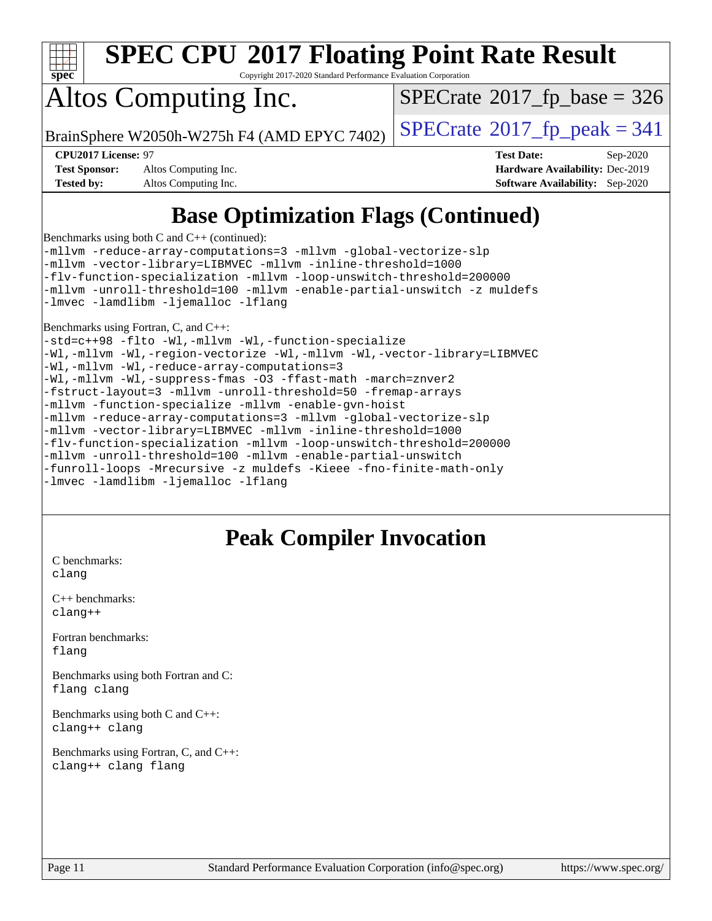

Copyright 2017-2020 Standard Performance Evaluation Corporation

## Altos Computing Inc.

 $SPECTate$ <sup>®</sup>[2017\\_fp\\_base =](http://www.spec.org/auto/cpu2017/Docs/result-fields.html#SPECrate2017fpbase) 326

BrainSphere W2050h-W275h F4 (AMD EPYC 7402)  $\vert$  [SPECrate](http://www.spec.org/auto/cpu2017/Docs/result-fields.html#SPECrate2017fppeak)®[2017\\_fp\\_peak = 3](http://www.spec.org/auto/cpu2017/Docs/result-fields.html#SPECrate2017fppeak)41

**[Test Sponsor:](http://www.spec.org/auto/cpu2017/Docs/result-fields.html#TestSponsor)** Altos Computing Inc. **[Hardware Availability:](http://www.spec.org/auto/cpu2017/Docs/result-fields.html#HardwareAvailability)** Dec-2019 **[Tested by:](http://www.spec.org/auto/cpu2017/Docs/result-fields.html#Testedby)** Altos Computing Inc. **[Software Availability:](http://www.spec.org/auto/cpu2017/Docs/result-fields.html#SoftwareAvailability)** Sep-2020

**[CPU2017 License:](http://www.spec.org/auto/cpu2017/Docs/result-fields.html#CPU2017License)** 97 **[Test Date:](http://www.spec.org/auto/cpu2017/Docs/result-fields.html#TestDate)** Sep-2020

## **[Base Optimization Flags \(Continued\)](http://www.spec.org/auto/cpu2017/Docs/result-fields.html#BaseOptimizationFlags)**

[Benchmarks using both C and C++](http://www.spec.org/auto/cpu2017/Docs/result-fields.html#BenchmarksusingbothCandCXX) (continued):

[-mllvm -reduce-array-computations=3](http://www.spec.org/cpu2017/results/res2020q4/cpu2017-20200918-24010.flags.html#user_CC_CXXbase_F-reduce-array-computations_aceadb8604558b566e0e3a0d7a3c1533923dd1fa0889614e16288028922629a28d5695c24d3b3be4306b1e311c54317dfffe3a2e57fbcaabc737a1798de39145) [-mllvm -global-vectorize-slp](http://www.spec.org/cpu2017/results/res2020q4/cpu2017-20200918-24010.flags.html#user_CC_CXXbase_F-global-vectorize-slp_a3935e8627af4ced727033b1ffd4db27f4d541a363d28d82bf4c2925fb3a0fd4115d6e42d13a2829f9e024d6608eb67a85cb49770f2da5c5ac8dbc737afad603) [-mllvm -vector-library=LIBMVEC](http://www.spec.org/cpu2017/results/res2020q4/cpu2017-20200918-24010.flags.html#user_CC_CXXbase_F-use-vector-library_e584e20b4f7ec96aa109254b65d8e01d864f3d68580371b9d93ed7c338191d4cfce20c3c864632264effc6bbe4c7c38153d02096a342ee92501c4a53204a7871) [-mllvm -inline-threshold=1000](http://www.spec.org/cpu2017/results/res2020q4/cpu2017-20200918-24010.flags.html#user_CC_CXXbase_dragonegg-llvm-inline-threshold_b7832241b0a6397e4ecdbaf0eb7defdc10f885c2a282fa3240fdc99844d543fda39cf8a4a9dccf68cf19b5438ac3b455264f478df15da0f4988afa40d8243bab) [-flv-function-specialization](http://www.spec.org/cpu2017/results/res2020q4/cpu2017-20200918-24010.flags.html#user_CC_CXXbase_F-flv-function-specialization) [-mllvm -loop-unswitch-threshold=200000](http://www.spec.org/cpu2017/results/res2020q4/cpu2017-20200918-24010.flags.html#user_CC_CXXbase_F-loop-unswitch-threshold_f9a82ae3270e55b5fbf79d0d96ee93606b73edbbe527d20b18b7bff1a3a146ad50cfc7454c5297978340ae9213029016a7d16221274d672d3f7f42ed25274e1d) [-mllvm -unroll-threshold=100](http://www.spec.org/cpu2017/results/res2020q4/cpu2017-20200918-24010.flags.html#user_CC_CXXbase_F-unroll-threshold_2755d0c78138845d361fa1543e3a063fffa198df9b3edf0cfb856bbc88a81e1769b12ac7a550c5d35197be55360db1a3f95a8d1304df999456cabf5120c45168) [-mllvm -enable-partial-unswitch](http://www.spec.org/cpu2017/results/res2020q4/cpu2017-20200918-24010.flags.html#user_CC_CXXbase_F-enable-partial-unswitch_6e1c33f981d77963b1eaf834973128a7f33ce3f8e27f54689656697a35e89dcc875281e0e6283d043e32f367dcb605ba0e307a92e830f7e326789fa6c61b35d3) [-z muldefs](http://www.spec.org/cpu2017/results/res2020q4/cpu2017-20200918-24010.flags.html#user_CC_CXXbase_aocc-muldefs) [-lmvec](http://www.spec.org/cpu2017/results/res2020q4/cpu2017-20200918-24010.flags.html#user_CC_CXXbase_F-lmvec) [-lamdlibm](http://www.spec.org/cpu2017/results/res2020q4/cpu2017-20200918-24010.flags.html#user_CC_CXXbase_F-lamdlibm) [-ljemalloc](http://www.spec.org/cpu2017/results/res2020q4/cpu2017-20200918-24010.flags.html#user_CC_CXXbase_jemalloc-lib) [-lflang](http://www.spec.org/cpu2017/results/res2020q4/cpu2017-20200918-24010.flags.html#user_CC_CXXbase_F-lflang)

[Benchmarks using Fortran, C, and C++:](http://www.spec.org/auto/cpu2017/Docs/result-fields.html#BenchmarksusingFortranCandCXX)

[-std=c++98](http://www.spec.org/cpu2017/results/res2020q4/cpu2017-20200918-24010.flags.html#user_CC_CXX_FCbase_std-cpp) [-flto](http://www.spec.org/cpu2017/results/res2020q4/cpu2017-20200918-24010.flags.html#user_CC_CXX_FCbase_aocc-flto) [-Wl,-mllvm -Wl,-function-specialize](http://www.spec.org/cpu2017/results/res2020q4/cpu2017-20200918-24010.flags.html#user_CC_CXX_FCbase_F-function-specialize_7e7e661e57922243ee67c9a1251cb8910e607325179a0ce7f2884e09a6f5d4a5ef0ae4f37e8a2a11c95fc48e931f06dc2b6016f14b511fcb441e048bef1b065a) [-Wl,-mllvm -Wl,-region-vectorize](http://www.spec.org/cpu2017/results/res2020q4/cpu2017-20200918-24010.flags.html#user_CC_CXX_FCbase_F-region-vectorize_fb6c6b5aa293c88efc6c7c2b52b20755e943585b1fe8658c35afef78727fff56e1a56891413c30e36b8e2a6f9a71126986319243e80eb6110b78b288f533c52b) [-Wl,-mllvm -Wl,-vector-library=LIBMVEC](http://www.spec.org/cpu2017/results/res2020q4/cpu2017-20200918-24010.flags.html#user_CC_CXX_FCbase_F-use-vector-library_0a14b27fae317f283640384a31f7bfcc2bd4c1d0b5cfc618a3a430800c9b20217b00f61303eff223a3251b4f06ffbc9739dc5296db9d1fbb9ad24a3939d86d66) [-Wl,-mllvm -Wl,-reduce-array-computations=3](http://www.spec.org/cpu2017/results/res2020q4/cpu2017-20200918-24010.flags.html#user_CC_CXX_FCbase_F-reduce-array-computations_b882aefe7a5dda4e33149f6299762b9a720dace3e498e13756f4c04e5a19edf5315c1f3993de2e61ec41e8c206231f84e05da7040e1bb5d69ba27d10a12507e4) [-Wl,-mllvm -Wl,-suppress-fmas](http://www.spec.org/cpu2017/results/res2020q4/cpu2017-20200918-24010.flags.html#user_CC_CXX_FCbase_F-suppress-fmas_f00f00630e4a059e8af9c161e9bbf420bcf19890a7f99d5933525e66aa4b0bb3ab2339d2b12d97d3a5f5d271e839fe9c109938e91fe06230fb53651590cfa1e8) [-O3](http://www.spec.org/cpu2017/results/res2020q4/cpu2017-20200918-24010.flags.html#user_CC_CXX_FCbase_F-O3) [-ffast-math](http://www.spec.org/cpu2017/results/res2020q4/cpu2017-20200918-24010.flags.html#user_CC_CXX_FCbase_aocc-ffast-math) [-march=znver2](http://www.spec.org/cpu2017/results/res2020q4/cpu2017-20200918-24010.flags.html#user_CC_CXX_FCbase_aocc-march_3e2e19cff2eeef60c5d90b059483627c9ea47eca6d66670dbd53f9185f6439e27eb5e104cf773e9e8ab18c8842ce63e461a3e948d0214bd567ef3ade411bf467) [-fstruct-layout=3](http://www.spec.org/cpu2017/results/res2020q4/cpu2017-20200918-24010.flags.html#user_CC_CXX_FCbase_F-struct-layout) [-mllvm -unroll-threshold=50](http://www.spec.org/cpu2017/results/res2020q4/cpu2017-20200918-24010.flags.html#user_CC_CXX_FCbase_F-unroll-threshold_458874500b2c105d6d5cb4d7a611c40e2b16e9e3d26b355fea72d644c3673b4de4b3932662f0ed3dbec75c491a13da2d2ca81180bd779dc531083ef1e1e549dc) [-fremap-arrays](http://www.spec.org/cpu2017/results/res2020q4/cpu2017-20200918-24010.flags.html#user_CC_CXX_FCbase_F-fremap-arrays) [-mllvm -function-specialize](http://www.spec.org/cpu2017/results/res2020q4/cpu2017-20200918-24010.flags.html#user_CC_CXX_FCbase_F-function-specialize_233b3bdba86027f1b094368157e481c5bc59f40286dc25bfadc1858dcd5745c24fd30d5f188710db7fea399bcc9f44a80b3ce3aacc70a8870250c3ae5e1f35b8) [-mllvm -enable-gvn-hoist](http://www.spec.org/cpu2017/results/res2020q4/cpu2017-20200918-24010.flags.html#user_CC_CXX_FCbase_F-enable-gvn-hoist_e5856354646dd6ca1333a0ad99b817e4cf8932b91b82809fd8fd47ceff7b22a89eba5c98fd3e3fa5200368fd772cec3dd56abc3c8f7b655a71b9f9848dddedd5) [-mllvm -reduce-array-computations=3](http://www.spec.org/cpu2017/results/res2020q4/cpu2017-20200918-24010.flags.html#user_CC_CXX_FCbase_F-reduce-array-computations_aceadb8604558b566e0e3a0d7a3c1533923dd1fa0889614e16288028922629a28d5695c24d3b3be4306b1e311c54317dfffe3a2e57fbcaabc737a1798de39145) [-mllvm -global-vectorize-slp](http://www.spec.org/cpu2017/results/res2020q4/cpu2017-20200918-24010.flags.html#user_CC_CXX_FCbase_F-global-vectorize-slp_a3935e8627af4ced727033b1ffd4db27f4d541a363d28d82bf4c2925fb3a0fd4115d6e42d13a2829f9e024d6608eb67a85cb49770f2da5c5ac8dbc737afad603) [-mllvm -vector-library=LIBMVEC](http://www.spec.org/cpu2017/results/res2020q4/cpu2017-20200918-24010.flags.html#user_CC_CXX_FCbase_F-use-vector-library_e584e20b4f7ec96aa109254b65d8e01d864f3d68580371b9d93ed7c338191d4cfce20c3c864632264effc6bbe4c7c38153d02096a342ee92501c4a53204a7871) [-mllvm -inline-threshold=1000](http://www.spec.org/cpu2017/results/res2020q4/cpu2017-20200918-24010.flags.html#user_CC_CXX_FCbase_dragonegg-llvm-inline-threshold_b7832241b0a6397e4ecdbaf0eb7defdc10f885c2a282fa3240fdc99844d543fda39cf8a4a9dccf68cf19b5438ac3b455264f478df15da0f4988afa40d8243bab) [-flv-function-specialization](http://www.spec.org/cpu2017/results/res2020q4/cpu2017-20200918-24010.flags.html#user_CC_CXX_FCbase_F-flv-function-specialization) [-mllvm -loop-unswitch-threshold=200000](http://www.spec.org/cpu2017/results/res2020q4/cpu2017-20200918-24010.flags.html#user_CC_CXX_FCbase_F-loop-unswitch-threshold_f9a82ae3270e55b5fbf79d0d96ee93606b73edbbe527d20b18b7bff1a3a146ad50cfc7454c5297978340ae9213029016a7d16221274d672d3f7f42ed25274e1d) [-mllvm -unroll-threshold=100](http://www.spec.org/cpu2017/results/res2020q4/cpu2017-20200918-24010.flags.html#user_CC_CXX_FCbase_F-unroll-threshold_2755d0c78138845d361fa1543e3a063fffa198df9b3edf0cfb856bbc88a81e1769b12ac7a550c5d35197be55360db1a3f95a8d1304df999456cabf5120c45168) [-mllvm -enable-partial-unswitch](http://www.spec.org/cpu2017/results/res2020q4/cpu2017-20200918-24010.flags.html#user_CC_CXX_FCbase_F-enable-partial-unswitch_6e1c33f981d77963b1eaf834973128a7f33ce3f8e27f54689656697a35e89dcc875281e0e6283d043e32f367dcb605ba0e307a92e830f7e326789fa6c61b35d3) [-funroll-loops](http://www.spec.org/cpu2017/results/res2020q4/cpu2017-20200918-24010.flags.html#user_CC_CXX_FCbase_aocc-unroll-loops) [-Mrecursive](http://www.spec.org/cpu2017/results/res2020q4/cpu2017-20200918-24010.flags.html#user_CC_CXX_FCbase_F-mrecursive_20a145d63f12d5750a899e17d4450b5b8b40330a9bb4af13688ca650e6fb30857bbbe44fb35cdbb895df6e5b2769de0a0d7659f51ff17acfbef6febafec4023f) [-z muldefs](http://www.spec.org/cpu2017/results/res2020q4/cpu2017-20200918-24010.flags.html#user_CC_CXX_FCbase_aocc-muldefs) [-Kieee](http://www.spec.org/cpu2017/results/res2020q4/cpu2017-20200918-24010.flags.html#user_CC_CXX_FCbase_F-kieee) [-fno-finite-math-only](http://www.spec.org/cpu2017/results/res2020q4/cpu2017-20200918-24010.flags.html#user_CC_CXX_FCbase_aocc-fno-finite-math-only) [-lmvec](http://www.spec.org/cpu2017/results/res2020q4/cpu2017-20200918-24010.flags.html#user_CC_CXX_FCbase_F-lmvec) [-lamdlibm](http://www.spec.org/cpu2017/results/res2020q4/cpu2017-20200918-24010.flags.html#user_CC_CXX_FCbase_F-lamdlibm) [-ljemalloc](http://www.spec.org/cpu2017/results/res2020q4/cpu2017-20200918-24010.flags.html#user_CC_CXX_FCbase_jemalloc-lib) [-lflang](http://www.spec.org/cpu2017/results/res2020q4/cpu2017-20200918-24010.flags.html#user_CC_CXX_FCbase_F-lflang)

### **[Peak Compiler Invocation](http://www.spec.org/auto/cpu2017/Docs/result-fields.html#PeakCompilerInvocation)**

[C benchmarks](http://www.spec.org/auto/cpu2017/Docs/result-fields.html#Cbenchmarks): [clang](http://www.spec.org/cpu2017/results/res2020q4/cpu2017-20200918-24010.flags.html#user_CCpeak_clang-c)

[C++ benchmarks:](http://www.spec.org/auto/cpu2017/Docs/result-fields.html#CXXbenchmarks) [clang++](http://www.spec.org/cpu2017/results/res2020q4/cpu2017-20200918-24010.flags.html#user_CXXpeak_clang-cpp)

[Fortran benchmarks](http://www.spec.org/auto/cpu2017/Docs/result-fields.html#Fortranbenchmarks): [flang](http://www.spec.org/cpu2017/results/res2020q4/cpu2017-20200918-24010.flags.html#user_FCpeak_flang)

[Benchmarks using both Fortran and C](http://www.spec.org/auto/cpu2017/Docs/result-fields.html#BenchmarksusingbothFortranandC): [flang](http://www.spec.org/cpu2017/results/res2020q4/cpu2017-20200918-24010.flags.html#user_CC_FCpeak_flang) [clang](http://www.spec.org/cpu2017/results/res2020q4/cpu2017-20200918-24010.flags.html#user_CC_FCpeak_clang-c)

[Benchmarks using both C and C++](http://www.spec.org/auto/cpu2017/Docs/result-fields.html#BenchmarksusingbothCandCXX): [clang++](http://www.spec.org/cpu2017/results/res2020q4/cpu2017-20200918-24010.flags.html#user_CC_CXXpeak_clang-cpp) [clang](http://www.spec.org/cpu2017/results/res2020q4/cpu2017-20200918-24010.flags.html#user_CC_CXXpeak_clang-c)

[Benchmarks using Fortran, C, and C++:](http://www.spec.org/auto/cpu2017/Docs/result-fields.html#BenchmarksusingFortranCandCXX) [clang++](http://www.spec.org/cpu2017/results/res2020q4/cpu2017-20200918-24010.flags.html#user_CC_CXX_FCpeak_clang-cpp) [clang](http://www.spec.org/cpu2017/results/res2020q4/cpu2017-20200918-24010.flags.html#user_CC_CXX_FCpeak_clang-c) [flang](http://www.spec.org/cpu2017/results/res2020q4/cpu2017-20200918-24010.flags.html#user_CC_CXX_FCpeak_flang)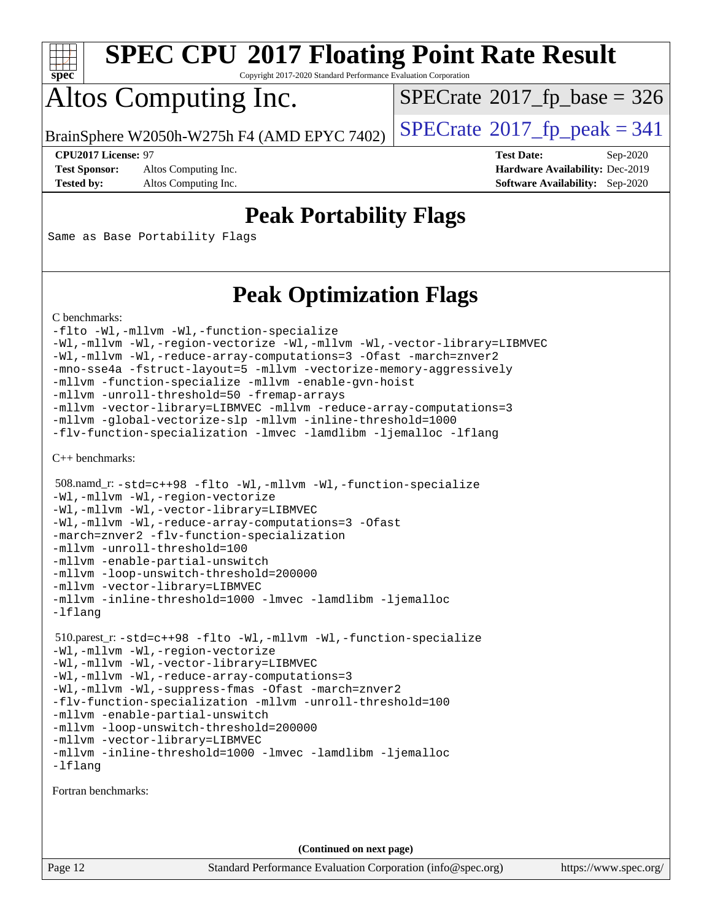

Copyright 2017-2020 Standard Performance Evaluation Corporation

## Altos Computing Inc.

 $SPECTate$ <sup>®</sup>[2017\\_fp\\_base =](http://www.spec.org/auto/cpu2017/Docs/result-fields.html#SPECrate2017fpbase) 326

BrainSphere W2050h-W275h F4 (AMD EPYC 7402)  $\vert$  [SPECrate](http://www.spec.org/auto/cpu2017/Docs/result-fields.html#SPECrate2017fppeak)®[2017\\_fp\\_peak = 3](http://www.spec.org/auto/cpu2017/Docs/result-fields.html#SPECrate2017fppeak)41

**[Test Sponsor:](http://www.spec.org/auto/cpu2017/Docs/result-fields.html#TestSponsor)** Altos Computing Inc. **[Hardware Availability:](http://www.spec.org/auto/cpu2017/Docs/result-fields.html#HardwareAvailability)** Dec-2019

**[CPU2017 License:](http://www.spec.org/auto/cpu2017/Docs/result-fields.html#CPU2017License)** 97 **[Test Date:](http://www.spec.org/auto/cpu2017/Docs/result-fields.html#TestDate)** Sep-2020 **[Tested by:](http://www.spec.org/auto/cpu2017/Docs/result-fields.html#Testedby)** Altos Computing Inc. **[Software Availability:](http://www.spec.org/auto/cpu2017/Docs/result-fields.html#SoftwareAvailability)** Sep-2020

### **[Peak Portability Flags](http://www.spec.org/auto/cpu2017/Docs/result-fields.html#PeakPortabilityFlags)**

Same as Base Portability Flags

### **[Peak Optimization Flags](http://www.spec.org/auto/cpu2017/Docs/result-fields.html#PeakOptimizationFlags)**

[C benchmarks](http://www.spec.org/auto/cpu2017/Docs/result-fields.html#Cbenchmarks):

```
-flto -Wl,-mllvm -Wl,-function-specialize
-Wl,-mllvm -Wl,-region-vectorize -Wl,-mllvm -Wl,-vector-library=LIBMVEC
-Wl,-mllvm -Wl,-reduce-array-computations=3 -Ofast -march=znver2
-mno-sse4a -fstruct-layout=5 -mllvm -vectorize-memory-aggressively
-mllvm -function-specialize -mllvm -enable-gvn-hoist
-mllvm -unroll-threshold=50 -fremap-arrays
-mllvm -vector-library=LIBMVEC -mllvm -reduce-array-computations=3
-mllvm -global-vectorize-slp -mllvm -inline-threshold=1000
-flv-function-specialization -lmvec -lamdlibm -ljemalloc -lflang
```
[C++ benchmarks:](http://www.spec.org/auto/cpu2017/Docs/result-fields.html#CXXbenchmarks)

```
 508.namd_r: -std=c++98 -flto -Wl,-mllvm -Wl,-function-specialize
-Wl,-mllvm -Wl,-region-vectorize
-Wl,-mllvm -Wl,-vector-library=LIBMVEC
-Wl,-mllvm -Wl,-reduce-array-computations=3 -Ofast
-march=znver2 -flv-function-specialization
-mllvm -unroll-threshold=100
-mllvm -enable-partial-unswitch
-mllvm -loop-unswitch-threshold=200000
-mllvm -vector-library=LIBMVEC
-mllvm -inline-threshold=1000 -lmvec -lamdlibm -ljemalloc
-lflang
 510.parest_r: -std=c++98 -flto -Wl,-mllvm -Wl,-function-specialize
-Wl,-mllvm -Wl,-region-vectorize
-Wl,-mllvm -Wl,-vector-library=LIBMVEC
-Wl,-mllvm -Wl,-reduce-array-computations=3
-Wl,-mllvm -Wl,-suppress-fmas -Ofast -march=znver2
-flv-function-specialization -mllvm -unroll-threshold=100
-mllvm -enable-partial-unswitch
-mllvm -loop-unswitch-threshold=200000
-mllvm -vector-library=LIBMVEC
-mllvm -inline-threshold=1000 -lmvec -lamdlibm -ljemalloc
-lflang
```
[Fortran benchmarks](http://www.spec.org/auto/cpu2017/Docs/result-fields.html#Fortranbenchmarks):

**(Continued on next page)**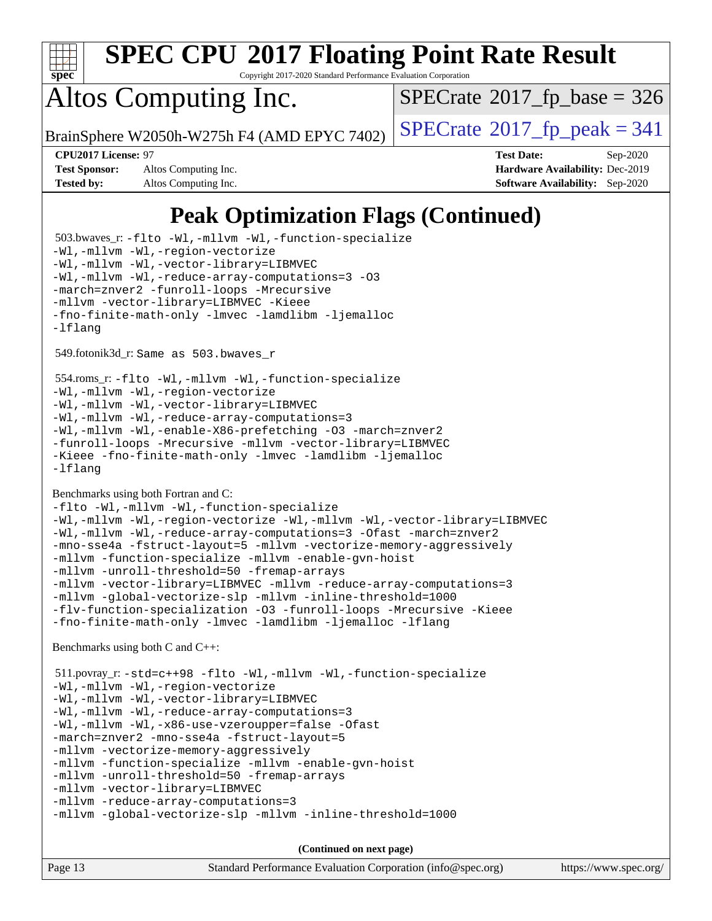

Copyright 2017-2020 Standard Performance Evaluation Corporation

## Altos Computing Inc.

 $SPECTate$ <sup>®</sup>[2017\\_fp\\_base =](http://www.spec.org/auto/cpu2017/Docs/result-fields.html#SPECrate2017fpbase) 326

BrainSphere W2050h-W275h F4 (AMD EPYC 7402)  $\vert$  [SPECrate](http://www.spec.org/auto/cpu2017/Docs/result-fields.html#SPECrate2017fppeak)®[2017\\_fp\\_peak = 3](http://www.spec.org/auto/cpu2017/Docs/result-fields.html#SPECrate2017fppeak)41

**[Test Sponsor:](http://www.spec.org/auto/cpu2017/Docs/result-fields.html#TestSponsor)** Altos Computing Inc. **[Hardware Availability:](http://www.spec.org/auto/cpu2017/Docs/result-fields.html#HardwareAvailability)** Dec-2019 **[Tested by:](http://www.spec.org/auto/cpu2017/Docs/result-fields.html#Testedby)** Altos Computing Inc. **[Software Availability:](http://www.spec.org/auto/cpu2017/Docs/result-fields.html#SoftwareAvailability)** Sep-2020

**[CPU2017 License:](http://www.spec.org/auto/cpu2017/Docs/result-fields.html#CPU2017License)** 97 **[Test Date:](http://www.spec.org/auto/cpu2017/Docs/result-fields.html#TestDate)** Sep-2020

### **[Peak Optimization Flags \(Continued\)](http://www.spec.org/auto/cpu2017/Docs/result-fields.html#PeakOptimizationFlags)**

Page 13 Standard Performance Evaluation Corporation [\(info@spec.org\)](mailto:info@spec.org) <https://www.spec.org/> 503.bwaves\_r: [-flto](http://www.spec.org/cpu2017/results/res2020q4/cpu2017-20200918-24010.flags.html#user_peakFOPTIMIZELDFLAGS503_bwaves_r_aocc-flto) [-Wl,-mllvm -Wl,-function-specialize](http://www.spec.org/cpu2017/results/res2020q4/cpu2017-20200918-24010.flags.html#user_peakLDFLAGS503_bwaves_r_F-function-specialize_7e7e661e57922243ee67c9a1251cb8910e607325179a0ce7f2884e09a6f5d4a5ef0ae4f37e8a2a11c95fc48e931f06dc2b6016f14b511fcb441e048bef1b065a) [-Wl,-mllvm -Wl,-region-vectorize](http://www.spec.org/cpu2017/results/res2020q4/cpu2017-20200918-24010.flags.html#user_peakLDFLAGS503_bwaves_r_F-region-vectorize_fb6c6b5aa293c88efc6c7c2b52b20755e943585b1fe8658c35afef78727fff56e1a56891413c30e36b8e2a6f9a71126986319243e80eb6110b78b288f533c52b) [-Wl,-mllvm -Wl,-vector-library=LIBMVEC](http://www.spec.org/cpu2017/results/res2020q4/cpu2017-20200918-24010.flags.html#user_peakLDFLAGS503_bwaves_r_F-use-vector-library_0a14b27fae317f283640384a31f7bfcc2bd4c1d0b5cfc618a3a430800c9b20217b00f61303eff223a3251b4f06ffbc9739dc5296db9d1fbb9ad24a3939d86d66) [-Wl,-mllvm -Wl,-reduce-array-computations=3](http://www.spec.org/cpu2017/results/res2020q4/cpu2017-20200918-24010.flags.html#user_peakLDFLAGS503_bwaves_r_F-reduce-array-computations_b882aefe7a5dda4e33149f6299762b9a720dace3e498e13756f4c04e5a19edf5315c1f3993de2e61ec41e8c206231f84e05da7040e1bb5d69ba27d10a12507e4) [-O3](http://www.spec.org/cpu2017/results/res2020q4/cpu2017-20200918-24010.flags.html#user_peakFOPTIMIZE503_bwaves_r_F-O3) [-march=znver2](http://www.spec.org/cpu2017/results/res2020q4/cpu2017-20200918-24010.flags.html#user_peakFOPTIMIZE503_bwaves_r_aocc-march_3e2e19cff2eeef60c5d90b059483627c9ea47eca6d66670dbd53f9185f6439e27eb5e104cf773e9e8ab18c8842ce63e461a3e948d0214bd567ef3ade411bf467) [-funroll-loops](http://www.spec.org/cpu2017/results/res2020q4/cpu2017-20200918-24010.flags.html#user_peakFOPTIMIZE503_bwaves_r_aocc-unroll-loops) [-Mrecursive](http://www.spec.org/cpu2017/results/res2020q4/cpu2017-20200918-24010.flags.html#user_peakFOPTIMIZE503_bwaves_r_F-mrecursive_20a145d63f12d5750a899e17d4450b5b8b40330a9bb4af13688ca650e6fb30857bbbe44fb35cdbb895df6e5b2769de0a0d7659f51ff17acfbef6febafec4023f) [-mllvm -vector-library=LIBMVEC](http://www.spec.org/cpu2017/results/res2020q4/cpu2017-20200918-24010.flags.html#user_peakFOPTIMIZE503_bwaves_r_F-use-vector-library_e584e20b4f7ec96aa109254b65d8e01d864f3d68580371b9d93ed7c338191d4cfce20c3c864632264effc6bbe4c7c38153d02096a342ee92501c4a53204a7871) [-Kieee](http://www.spec.org/cpu2017/results/res2020q4/cpu2017-20200918-24010.flags.html#user_peakEXTRA_FFLAGS503_bwaves_r_F-kieee) [-fno-finite-math-only](http://www.spec.org/cpu2017/results/res2020q4/cpu2017-20200918-24010.flags.html#user_peakEXTRA_FFLAGS503_bwaves_r_aocc-fno-finite-math-only) [-lmvec](http://www.spec.org/cpu2017/results/res2020q4/cpu2017-20200918-24010.flags.html#user_peakEXTRA_FLIBSEXTRA_LIBS503_bwaves_r_F-lmvec) [-lamdlibm](http://www.spec.org/cpu2017/results/res2020q4/cpu2017-20200918-24010.flags.html#user_peakEXTRA_FLIBSEXTRA_LIBS503_bwaves_r_F-lamdlibm) [-ljemalloc](http://www.spec.org/cpu2017/results/res2020q4/cpu2017-20200918-24010.flags.html#user_peakEXTRA_LIBS503_bwaves_r_jemalloc-lib) [-lflang](http://www.spec.org/cpu2017/results/res2020q4/cpu2017-20200918-24010.flags.html#user_peakEXTRA_LIBS503_bwaves_r_F-lflang) 549.fotonik3d\_r: Same as 503.bwaves\_r 554.roms\_r: [-flto](http://www.spec.org/cpu2017/results/res2020q4/cpu2017-20200918-24010.flags.html#user_peakFOPTIMIZELDFLAGS554_roms_r_aocc-flto) [-Wl,-mllvm -Wl,-function-specialize](http://www.spec.org/cpu2017/results/res2020q4/cpu2017-20200918-24010.flags.html#user_peakLDFLAGS554_roms_r_F-function-specialize_7e7e661e57922243ee67c9a1251cb8910e607325179a0ce7f2884e09a6f5d4a5ef0ae4f37e8a2a11c95fc48e931f06dc2b6016f14b511fcb441e048bef1b065a) [-Wl,-mllvm -Wl,-region-vectorize](http://www.spec.org/cpu2017/results/res2020q4/cpu2017-20200918-24010.flags.html#user_peakLDFLAGS554_roms_r_F-region-vectorize_fb6c6b5aa293c88efc6c7c2b52b20755e943585b1fe8658c35afef78727fff56e1a56891413c30e36b8e2a6f9a71126986319243e80eb6110b78b288f533c52b) [-Wl,-mllvm -Wl,-vector-library=LIBMVEC](http://www.spec.org/cpu2017/results/res2020q4/cpu2017-20200918-24010.flags.html#user_peakLDFLAGS554_roms_r_F-use-vector-library_0a14b27fae317f283640384a31f7bfcc2bd4c1d0b5cfc618a3a430800c9b20217b00f61303eff223a3251b4f06ffbc9739dc5296db9d1fbb9ad24a3939d86d66) [-Wl,-mllvm -Wl,-reduce-array-computations=3](http://www.spec.org/cpu2017/results/res2020q4/cpu2017-20200918-24010.flags.html#user_peakLDFLAGS554_roms_r_F-reduce-array-computations_b882aefe7a5dda4e33149f6299762b9a720dace3e498e13756f4c04e5a19edf5315c1f3993de2e61ec41e8c206231f84e05da7040e1bb5d69ba27d10a12507e4) [-Wl,-mllvm -Wl,-enable-X86-prefetching](http://www.spec.org/cpu2017/results/res2020q4/cpu2017-20200918-24010.flags.html#user_peakLDFFLAGS554_roms_r_F-enable-X86-prefetching_362de7b2f7f327d498ff3502bcaa6d8937de40fbbc59a600e539433e6b2cb9ea5e30d4a00c3465ce74a160670b5fcaffd57d10fdc90b0d7ee2c6f387a6bf1aee) [-O3](http://www.spec.org/cpu2017/results/res2020q4/cpu2017-20200918-24010.flags.html#user_peakFOPTIMIZE554_roms_r_F-O3) [-march=znver2](http://www.spec.org/cpu2017/results/res2020q4/cpu2017-20200918-24010.flags.html#user_peakFOPTIMIZE554_roms_r_aocc-march_3e2e19cff2eeef60c5d90b059483627c9ea47eca6d66670dbd53f9185f6439e27eb5e104cf773e9e8ab18c8842ce63e461a3e948d0214bd567ef3ade411bf467) [-funroll-loops](http://www.spec.org/cpu2017/results/res2020q4/cpu2017-20200918-24010.flags.html#user_peakFOPTIMIZE554_roms_r_aocc-unroll-loops) [-Mrecursive](http://www.spec.org/cpu2017/results/res2020q4/cpu2017-20200918-24010.flags.html#user_peakFOPTIMIZE554_roms_r_F-mrecursive_20a145d63f12d5750a899e17d4450b5b8b40330a9bb4af13688ca650e6fb30857bbbe44fb35cdbb895df6e5b2769de0a0d7659f51ff17acfbef6febafec4023f) [-mllvm -vector-library=LIBMVEC](http://www.spec.org/cpu2017/results/res2020q4/cpu2017-20200918-24010.flags.html#user_peakFOPTIMIZE554_roms_r_F-use-vector-library_e584e20b4f7ec96aa109254b65d8e01d864f3d68580371b9d93ed7c338191d4cfce20c3c864632264effc6bbe4c7c38153d02096a342ee92501c4a53204a7871) [-Kieee](http://www.spec.org/cpu2017/results/res2020q4/cpu2017-20200918-24010.flags.html#user_peakEXTRA_FFLAGS554_roms_r_F-kieee) [-fno-finite-math-only](http://www.spec.org/cpu2017/results/res2020q4/cpu2017-20200918-24010.flags.html#user_peakEXTRA_FFLAGS554_roms_r_aocc-fno-finite-math-only) [-lmvec](http://www.spec.org/cpu2017/results/res2020q4/cpu2017-20200918-24010.flags.html#user_peakEXTRA_FLIBSEXTRA_LIBS554_roms_r_F-lmvec) [-lamdlibm](http://www.spec.org/cpu2017/results/res2020q4/cpu2017-20200918-24010.flags.html#user_peakEXTRA_FLIBSEXTRA_LIBS554_roms_r_F-lamdlibm) [-ljemalloc](http://www.spec.org/cpu2017/results/res2020q4/cpu2017-20200918-24010.flags.html#user_peakEXTRA_LIBS554_roms_r_jemalloc-lib) [-lflang](http://www.spec.org/cpu2017/results/res2020q4/cpu2017-20200918-24010.flags.html#user_peakEXTRA_LIBS554_roms_r_F-lflang) [Benchmarks using both Fortran and C](http://www.spec.org/auto/cpu2017/Docs/result-fields.html#BenchmarksusingbothFortranandC): [-flto](http://www.spec.org/cpu2017/results/res2020q4/cpu2017-20200918-24010.flags.html#user_CC_FCpeak_aocc-flto) [-Wl,-mllvm -Wl,-function-specialize](http://www.spec.org/cpu2017/results/res2020q4/cpu2017-20200918-24010.flags.html#user_CC_FCpeak_F-function-specialize_7e7e661e57922243ee67c9a1251cb8910e607325179a0ce7f2884e09a6f5d4a5ef0ae4f37e8a2a11c95fc48e931f06dc2b6016f14b511fcb441e048bef1b065a) [-Wl,-mllvm -Wl,-region-vectorize](http://www.spec.org/cpu2017/results/res2020q4/cpu2017-20200918-24010.flags.html#user_CC_FCpeak_F-region-vectorize_fb6c6b5aa293c88efc6c7c2b52b20755e943585b1fe8658c35afef78727fff56e1a56891413c30e36b8e2a6f9a71126986319243e80eb6110b78b288f533c52b) [-Wl,-mllvm -Wl,-vector-library=LIBMVEC](http://www.spec.org/cpu2017/results/res2020q4/cpu2017-20200918-24010.flags.html#user_CC_FCpeak_F-use-vector-library_0a14b27fae317f283640384a31f7bfcc2bd4c1d0b5cfc618a3a430800c9b20217b00f61303eff223a3251b4f06ffbc9739dc5296db9d1fbb9ad24a3939d86d66) [-Wl,-mllvm -Wl,-reduce-array-computations=3](http://www.spec.org/cpu2017/results/res2020q4/cpu2017-20200918-24010.flags.html#user_CC_FCpeak_F-reduce-array-computations_b882aefe7a5dda4e33149f6299762b9a720dace3e498e13756f4c04e5a19edf5315c1f3993de2e61ec41e8c206231f84e05da7040e1bb5d69ba27d10a12507e4) [-Ofast](http://www.spec.org/cpu2017/results/res2020q4/cpu2017-20200918-24010.flags.html#user_CC_FCpeak_aocc-Ofast) [-march=znver2](http://www.spec.org/cpu2017/results/res2020q4/cpu2017-20200918-24010.flags.html#user_CC_FCpeak_aocc-march_3e2e19cff2eeef60c5d90b059483627c9ea47eca6d66670dbd53f9185f6439e27eb5e104cf773e9e8ab18c8842ce63e461a3e948d0214bd567ef3ade411bf467) [-mno-sse4a](http://www.spec.org/cpu2017/results/res2020q4/cpu2017-20200918-24010.flags.html#user_CC_FCpeak_F-mno-sse4a) [-fstruct-layout=5](http://www.spec.org/cpu2017/results/res2020q4/cpu2017-20200918-24010.flags.html#user_CC_FCpeak_F-struct-layout_0de9d3561e9f54a54e0843cce081bd13a08ab3e9a82696f3346606c2e11360c37113781019b02fa128d9f650e68f1ffd209bab5c3a026c1ad23e4e7f60646b23) [-mllvm -vectorize-memory-aggressively](http://www.spec.org/cpu2017/results/res2020q4/cpu2017-20200918-24010.flags.html#user_CC_FCpeak_F-vectorize-memory-aggressively_24b72a4417f50ade9e698c5b3bed87ab456cc6fc8ec6439480cb84f36ad6a3975af6e87206dea402e3871a1464ff3d60bc798e0250f330177ba629a260df1857) [-mllvm -function-specialize](http://www.spec.org/cpu2017/results/res2020q4/cpu2017-20200918-24010.flags.html#user_CC_FCpeak_F-function-specialize_233b3bdba86027f1b094368157e481c5bc59f40286dc25bfadc1858dcd5745c24fd30d5f188710db7fea399bcc9f44a80b3ce3aacc70a8870250c3ae5e1f35b8) [-mllvm -enable-gvn-hoist](http://www.spec.org/cpu2017/results/res2020q4/cpu2017-20200918-24010.flags.html#user_CC_FCpeak_F-enable-gvn-hoist_e5856354646dd6ca1333a0ad99b817e4cf8932b91b82809fd8fd47ceff7b22a89eba5c98fd3e3fa5200368fd772cec3dd56abc3c8f7b655a71b9f9848dddedd5) [-mllvm -unroll-threshold=50](http://www.spec.org/cpu2017/results/res2020q4/cpu2017-20200918-24010.flags.html#user_CC_FCpeak_F-unroll-threshold_458874500b2c105d6d5cb4d7a611c40e2b16e9e3d26b355fea72d644c3673b4de4b3932662f0ed3dbec75c491a13da2d2ca81180bd779dc531083ef1e1e549dc) [-fremap-arrays](http://www.spec.org/cpu2017/results/res2020q4/cpu2017-20200918-24010.flags.html#user_CC_FCpeak_F-fremap-arrays) [-mllvm -vector-library=LIBMVEC](http://www.spec.org/cpu2017/results/res2020q4/cpu2017-20200918-24010.flags.html#user_CC_FCpeak_F-use-vector-library_e584e20b4f7ec96aa109254b65d8e01d864f3d68580371b9d93ed7c338191d4cfce20c3c864632264effc6bbe4c7c38153d02096a342ee92501c4a53204a7871) [-mllvm -reduce-array-computations=3](http://www.spec.org/cpu2017/results/res2020q4/cpu2017-20200918-24010.flags.html#user_CC_FCpeak_F-reduce-array-computations_aceadb8604558b566e0e3a0d7a3c1533923dd1fa0889614e16288028922629a28d5695c24d3b3be4306b1e311c54317dfffe3a2e57fbcaabc737a1798de39145) [-mllvm -global-vectorize-slp](http://www.spec.org/cpu2017/results/res2020q4/cpu2017-20200918-24010.flags.html#user_CC_FCpeak_F-global-vectorize-slp_a3935e8627af4ced727033b1ffd4db27f4d541a363d28d82bf4c2925fb3a0fd4115d6e42d13a2829f9e024d6608eb67a85cb49770f2da5c5ac8dbc737afad603) [-mllvm -inline-threshold=1000](http://www.spec.org/cpu2017/results/res2020q4/cpu2017-20200918-24010.flags.html#user_CC_FCpeak_dragonegg-llvm-inline-threshold_b7832241b0a6397e4ecdbaf0eb7defdc10f885c2a282fa3240fdc99844d543fda39cf8a4a9dccf68cf19b5438ac3b455264f478df15da0f4988afa40d8243bab) [-flv-function-specialization](http://www.spec.org/cpu2017/results/res2020q4/cpu2017-20200918-24010.flags.html#user_CC_FCpeak_F-flv-function-specialization) [-O3](http://www.spec.org/cpu2017/results/res2020q4/cpu2017-20200918-24010.flags.html#user_CC_FCpeak_F-O3) [-funroll-loops](http://www.spec.org/cpu2017/results/res2020q4/cpu2017-20200918-24010.flags.html#user_CC_FCpeak_aocc-unroll-loops) [-Mrecursive](http://www.spec.org/cpu2017/results/res2020q4/cpu2017-20200918-24010.flags.html#user_CC_FCpeak_F-mrecursive_20a145d63f12d5750a899e17d4450b5b8b40330a9bb4af13688ca650e6fb30857bbbe44fb35cdbb895df6e5b2769de0a0d7659f51ff17acfbef6febafec4023f) [-Kieee](http://www.spec.org/cpu2017/results/res2020q4/cpu2017-20200918-24010.flags.html#user_CC_FCpeak_F-kieee) [-fno-finite-math-only](http://www.spec.org/cpu2017/results/res2020q4/cpu2017-20200918-24010.flags.html#user_CC_FCpeak_aocc-fno-finite-math-only) [-lmvec](http://www.spec.org/cpu2017/results/res2020q4/cpu2017-20200918-24010.flags.html#user_CC_FCpeak_F-lmvec) [-lamdlibm](http://www.spec.org/cpu2017/results/res2020q4/cpu2017-20200918-24010.flags.html#user_CC_FCpeak_F-lamdlibm) [-ljemalloc](http://www.spec.org/cpu2017/results/res2020q4/cpu2017-20200918-24010.flags.html#user_CC_FCpeak_jemalloc-lib) [-lflang](http://www.spec.org/cpu2017/results/res2020q4/cpu2017-20200918-24010.flags.html#user_CC_FCpeak_F-lflang) [Benchmarks using both C and C++](http://www.spec.org/auto/cpu2017/Docs/result-fields.html#BenchmarksusingbothCandCXX): 511.povray\_r: [-std=c++98](http://www.spec.org/cpu2017/results/res2020q4/cpu2017-20200918-24010.flags.html#user_peakCXXLD511_povray_r_std-cpp) [-flto](http://www.spec.org/cpu2017/results/res2020q4/cpu2017-20200918-24010.flags.html#user_peakCOPTIMIZECXXOPTIMIZELDFLAGS511_povray_r_aocc-flto) [-Wl,-mllvm -Wl,-function-specialize](http://www.spec.org/cpu2017/results/res2020q4/cpu2017-20200918-24010.flags.html#user_peakLDFLAGS511_povray_r_F-function-specialize_7e7e661e57922243ee67c9a1251cb8910e607325179a0ce7f2884e09a6f5d4a5ef0ae4f37e8a2a11c95fc48e931f06dc2b6016f14b511fcb441e048bef1b065a) [-Wl,-mllvm -Wl,-region-vectorize](http://www.spec.org/cpu2017/results/res2020q4/cpu2017-20200918-24010.flags.html#user_peakLDFLAGS511_povray_r_F-region-vectorize_fb6c6b5aa293c88efc6c7c2b52b20755e943585b1fe8658c35afef78727fff56e1a56891413c30e36b8e2a6f9a71126986319243e80eb6110b78b288f533c52b) [-Wl,-mllvm -Wl,-vector-library=LIBMVEC](http://www.spec.org/cpu2017/results/res2020q4/cpu2017-20200918-24010.flags.html#user_peakLDFLAGS511_povray_r_F-use-vector-library_0a14b27fae317f283640384a31f7bfcc2bd4c1d0b5cfc618a3a430800c9b20217b00f61303eff223a3251b4f06ffbc9739dc5296db9d1fbb9ad24a3939d86d66) [-Wl,-mllvm -Wl,-reduce-array-computations=3](http://www.spec.org/cpu2017/results/res2020q4/cpu2017-20200918-24010.flags.html#user_peakLDFLAGS511_povray_r_F-reduce-array-computations_b882aefe7a5dda4e33149f6299762b9a720dace3e498e13756f4c04e5a19edf5315c1f3993de2e61ec41e8c206231f84e05da7040e1bb5d69ba27d10a12507e4) [-Wl,-mllvm -Wl,-x86-use-vzeroupper=false](http://www.spec.org/cpu2017/results/res2020q4/cpu2017-20200918-24010.flags.html#user_peakLDCXXFLAGS511_povray_r_F-no-vzeroupper_f792211b0552b0142c11cf651c85f88d7eca3e3e6d4ab29ab8b0b7be9c7d83df7aebb846b5dded1424ec84d39acb59d058815f97bc3ae9de4ba00ee4e2945c83) [-Ofast](http://www.spec.org/cpu2017/results/res2020q4/cpu2017-20200918-24010.flags.html#user_peakCOPTIMIZECXXOPTIMIZE511_povray_r_aocc-Ofast) [-march=znver2](http://www.spec.org/cpu2017/results/res2020q4/cpu2017-20200918-24010.flags.html#user_peakCOPTIMIZECXXOPTIMIZE511_povray_r_aocc-march_3e2e19cff2eeef60c5d90b059483627c9ea47eca6d66670dbd53f9185f6439e27eb5e104cf773e9e8ab18c8842ce63e461a3e948d0214bd567ef3ade411bf467) [-mno-sse4a](http://www.spec.org/cpu2017/results/res2020q4/cpu2017-20200918-24010.flags.html#user_peakCOPTIMIZE511_povray_r_F-mno-sse4a) [-fstruct-layout=5](http://www.spec.org/cpu2017/results/res2020q4/cpu2017-20200918-24010.flags.html#user_peakCOPTIMIZE511_povray_r_F-struct-layout_0de9d3561e9f54a54e0843cce081bd13a08ab3e9a82696f3346606c2e11360c37113781019b02fa128d9f650e68f1ffd209bab5c3a026c1ad23e4e7f60646b23) [-mllvm -vectorize-memory-aggressively](http://www.spec.org/cpu2017/results/res2020q4/cpu2017-20200918-24010.flags.html#user_peakCOPTIMIZE511_povray_r_F-vectorize-memory-aggressively_24b72a4417f50ade9e698c5b3bed87ab456cc6fc8ec6439480cb84f36ad6a3975af6e87206dea402e3871a1464ff3d60bc798e0250f330177ba629a260df1857) [-mllvm -function-specialize](http://www.spec.org/cpu2017/results/res2020q4/cpu2017-20200918-24010.flags.html#user_peakCOPTIMIZE511_povray_r_F-function-specialize_233b3bdba86027f1b094368157e481c5bc59f40286dc25bfadc1858dcd5745c24fd30d5f188710db7fea399bcc9f44a80b3ce3aacc70a8870250c3ae5e1f35b8) [-mllvm -enable-gvn-hoist](http://www.spec.org/cpu2017/results/res2020q4/cpu2017-20200918-24010.flags.html#user_peakCOPTIMIZE511_povray_r_F-enable-gvn-hoist_e5856354646dd6ca1333a0ad99b817e4cf8932b91b82809fd8fd47ceff7b22a89eba5c98fd3e3fa5200368fd772cec3dd56abc3c8f7b655a71b9f9848dddedd5) [-mllvm -unroll-threshold=50](http://www.spec.org/cpu2017/results/res2020q4/cpu2017-20200918-24010.flags.html#user_peakCOPTIMIZE511_povray_r_F-unroll-threshold_458874500b2c105d6d5cb4d7a611c40e2b16e9e3d26b355fea72d644c3673b4de4b3932662f0ed3dbec75c491a13da2d2ca81180bd779dc531083ef1e1e549dc) [-fremap-arrays](http://www.spec.org/cpu2017/results/res2020q4/cpu2017-20200918-24010.flags.html#user_peakCOPTIMIZE511_povray_r_F-fremap-arrays) [-mllvm -vector-library=LIBMVEC](http://www.spec.org/cpu2017/results/res2020q4/cpu2017-20200918-24010.flags.html#user_peakCOPTIMIZECXXOPTIMIZE511_povray_r_F-use-vector-library_e584e20b4f7ec96aa109254b65d8e01d864f3d68580371b9d93ed7c338191d4cfce20c3c864632264effc6bbe4c7c38153d02096a342ee92501c4a53204a7871) [-mllvm -reduce-array-computations=3](http://www.spec.org/cpu2017/results/res2020q4/cpu2017-20200918-24010.flags.html#user_peakCOPTIMIZE511_povray_r_F-reduce-array-computations_aceadb8604558b566e0e3a0d7a3c1533923dd1fa0889614e16288028922629a28d5695c24d3b3be4306b1e311c54317dfffe3a2e57fbcaabc737a1798de39145) [-mllvm -global-vectorize-slp](http://www.spec.org/cpu2017/results/res2020q4/cpu2017-20200918-24010.flags.html#user_peakCOPTIMIZE511_povray_r_F-global-vectorize-slp_a3935e8627af4ced727033b1ffd4db27f4d541a363d28d82bf4c2925fb3a0fd4115d6e42d13a2829f9e024d6608eb67a85cb49770f2da5c5ac8dbc737afad603) [-mllvm -inline-threshold=1000](http://www.spec.org/cpu2017/results/res2020q4/cpu2017-20200918-24010.flags.html#user_peakCOPTIMIZECXXOPTIMIZE511_povray_r_dragonegg-llvm-inline-threshold_b7832241b0a6397e4ecdbaf0eb7defdc10f885c2a282fa3240fdc99844d543fda39cf8a4a9dccf68cf19b5438ac3b455264f478df15da0f4988afa40d8243bab) **(Continued on next page)**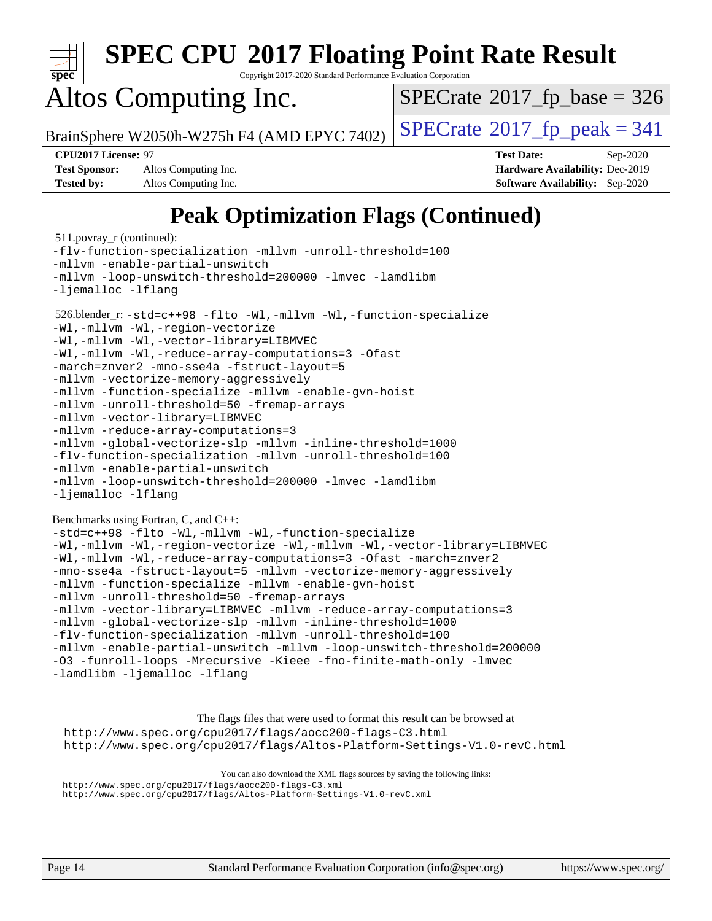

Copyright 2017-2020 Standard Performance Evaluation Corporation

# Altos Computing Inc.

 $SPECTate$ <sup>®</sup>[2017\\_fp\\_base =](http://www.spec.org/auto/cpu2017/Docs/result-fields.html#SPECrate2017fpbase) 326

BrainSphere W2050h-W275h F4 (AMD EPYC 7402)  $\vert$  [SPECrate](http://www.spec.org/auto/cpu2017/Docs/result-fields.html#SPECrate2017fppeak)®[2017\\_fp\\_peak = 3](http://www.spec.org/auto/cpu2017/Docs/result-fields.html#SPECrate2017fppeak)41

**[Test Sponsor:](http://www.spec.org/auto/cpu2017/Docs/result-fields.html#TestSponsor)** Altos Computing Inc. **[Hardware Availability:](http://www.spec.org/auto/cpu2017/Docs/result-fields.html#HardwareAvailability)** Dec-2019 **[Tested by:](http://www.spec.org/auto/cpu2017/Docs/result-fields.html#Testedby)** Altos Computing Inc. **[Software Availability:](http://www.spec.org/auto/cpu2017/Docs/result-fields.html#SoftwareAvailability)** Sep-2020

**[CPU2017 License:](http://www.spec.org/auto/cpu2017/Docs/result-fields.html#CPU2017License)** 97 **[Test Date:](http://www.spec.org/auto/cpu2017/Docs/result-fields.html#TestDate)** Sep-2020

## **[Peak Optimization Flags \(Continued\)](http://www.spec.org/auto/cpu2017/Docs/result-fields.html#PeakOptimizationFlags)**

```
 511.povray_r (continued):
-flv-function-specialization -mllvm -unroll-threshold=100
-mllvm -enable-partial-unswitch
-mllvm -loop-unswitch-threshold=200000 -lmvec -lamdlibm
-ljemalloc -lflang
 526.blender_r: -std=c++98 -flto -Wl,-mllvm -Wl,-function-specialize
-Wl,-mllvm -Wl,-region-vectorize
-Wl,-mllvm -Wl,-vector-library=LIBMVEC
-Wl,-mllvm -Wl,-reduce-array-computations=3 -Ofast
-march=znver2 -mno-sse4a -fstruct-layout=5
-mllvm -vectorize-memory-aggressively
-mllvm -function-specialize -mllvm -enable-gvn-hoist
-mllvm -unroll-threshold=50 -fremap-arrays
-mllvm -vector-library=LIBMVEC
-mllvm -reduce-array-computations=3
-mllvm -global-vectorize-slp -mllvm -inline-threshold=1000
-flv-function-specialization -mllvm -unroll-threshold=100
-mllvm -enable-partial-unswitch
-mllvm -loop-unswitch-threshold=200000 -lmvec -lamdlibm
-ljemalloc-lflang
Benchmarks using Fortran, C, and C++: 
-std=c++98 -flto -Wl,-mllvm -Wl,-function-specialize
-Wl,-mllvm -Wl,-region-vectorize -Wl,-mllvm -Wl,-vector-library=LIBMVEC
-Wl,-mllvm -Wl,-reduce-array-computations=3 -Ofast -march=znver2
-mno-sse4a -fstruct-layout=5 -mllvm -vectorize-memory-aggressively
-mllvm -function-specialize -mllvm -enable-gvn-hoist
-mllvm -unroll-threshold=50 -fremap-arrays
-mllvm -vector-library=LIBMVEC -mllvm -reduce-array-computations=3
-mllvm -global-vectorize-slp -mllvm -inline-threshold=1000
-flv-function-specialization -mllvm -unroll-threshold=100
-mllvm -enable-partial-unswitch -mllvm -loop-unswitch-threshold=200000
-O3 -funroll-loops -Mrecursive -Kieee -fno-finite-math-only -lmvec
-lamdlibm -ljemalloc -lflang
```
[The flags files that were used to format this result can be browsed at](tmsearch) <http://www.spec.org/cpu2017/flags/aocc200-flags-C3.html> <http://www.spec.org/cpu2017/flags/Altos-Platform-Settings-V1.0-revC.html>

[You can also download the XML flags sources by saving the following links:](tmsearch)

```
http://www.spec.org/cpu2017/flags/aocc200-flags-C3.xml
```

```
http://www.spec.org/cpu2017/flags/Altos-Platform-Settings-V1.0-revC.xml
```